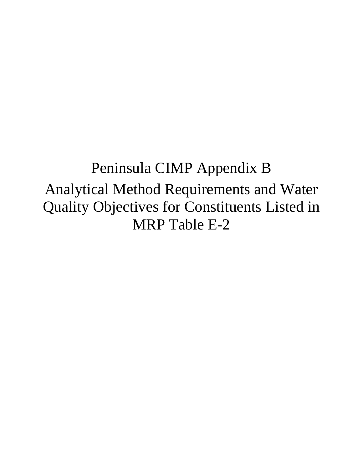# Peninsula CIMP Appendix B Analytical Method Requirements and Water Quality Objectives for Constituents Listed in MRP Table E-2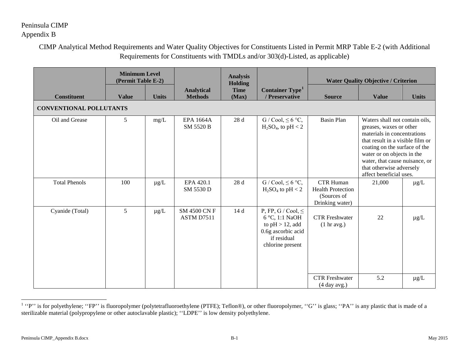#### <span id="page-1-0"></span>CIMP Analytical Method Requirements and Water Quality Objectives for Constituents Listed in Permit MRP Table E-2 (with Additional Requirements for Constituents with TMDLs and/or 303(d)-Listed, as applicable)

|                                | <b>Minimum Level</b><br>(Permit Table E-2) |              |                                     | <b>Analysis</b><br><b>Holding</b> |                                                                                                                          | <b>Water Quality Objective / Criterion</b>                                     |                                                                                                                                                                                                                                                                                      |              |  |
|--------------------------------|--------------------------------------------|--------------|-------------------------------------|-----------------------------------|--------------------------------------------------------------------------------------------------------------------------|--------------------------------------------------------------------------------|--------------------------------------------------------------------------------------------------------------------------------------------------------------------------------------------------------------------------------------------------------------------------------------|--------------|--|
| <b>Constituent</b>             | <b>Value</b>                               | <b>Units</b> | <b>Analytical</b><br><b>Methods</b> | <b>Time</b><br>(Max)              | Container Type <sup>1</sup><br>/ Preservative                                                                            | <b>Source</b>                                                                  | <b>Value</b>                                                                                                                                                                                                                                                                         | <b>Units</b> |  |
| <b>CONVENTIONAL POLLUTANTS</b> |                                            |              |                                     |                                   |                                                                                                                          |                                                                                |                                                                                                                                                                                                                                                                                      |              |  |
| Oil and Grease                 | 5                                          | mg/L         | <b>EPA 1664A</b><br>SM 5520 B       | 28 d                              | $G / \text{Cool}, \leq 6 \text{ °C},$<br>$H_2SO_4$ , to pH < 2                                                           | <b>Basin Plan</b>                                                              | Waters shall not contain oils,<br>greases, waxes or other<br>materials in concentrations<br>that result in a visible film or<br>coating on the surface of the<br>water or on objects in the<br>water, that cause nuisance, or<br>that otherwise adversely<br>affect beneficial uses. |              |  |
| <b>Total Phenols</b>           | 100                                        | $\mu g/L$    | EPA 420.1<br>SM 5530 D              | 28 d                              | $G / Cool, \leq 6 °C,$<br>$H_2SO_4$ to pH < 2                                                                            | <b>CTR Human</b><br><b>Health Protection</b><br>(Sources of<br>Drinking water) | 21,000                                                                                                                                                                                                                                                                               | $\mu$ g/L    |  |
| Cyanide (Total)                | 5                                          | $\mu g/L$    | <b>SM 4500 CN F</b><br>ASTM D7511   | 14 d                              | P, FP, G / Cool, $\leq$<br>6 °C, 1:1 NaOH<br>to $pH > 12$ , add<br>0.6g ascorbic acid<br>if residual<br>chlorine present | <b>CTR</b> Freshwater<br>(1 hr avg.)                                           | 22                                                                                                                                                                                                                                                                                   | $\mu g/L$    |  |
|                                |                                            |              |                                     |                                   |                                                                                                                          | <b>CTR</b> Freshwater<br>(4 day avg.)                                          | 5.2                                                                                                                                                                                                                                                                                  | $\mu$ g/L    |  |

<sup>&</sup>lt;sup>1</sup> "P" is for polyethylene; "FP" is fluoropolymer (polytetrafluoroethylene (PTFE); Teflon®), or other fluoropolymer, "G" is glass; "PA" is any plastic that is made of a sterilizable material (polypropylene or other autoclavable plastic); ''LDPE'' is low density polyethylene.

l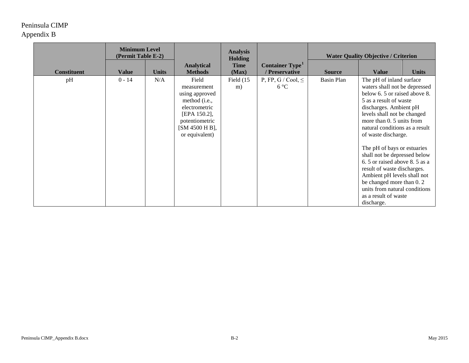|                    | <b>Minimum Level</b><br>(Permit Table E-2) |              |                                                                                                                                                | <b>Analysis</b><br><b>Holding</b> |                                               |                   |                                                                                                                                                                                                                                                                                                                                                                                                                                                                                                                                    |              |  |  | <b>Water Quality Objective / Criterion</b> |  |
|--------------------|--------------------------------------------|--------------|------------------------------------------------------------------------------------------------------------------------------------------------|-----------------------------------|-----------------------------------------------|-------------------|------------------------------------------------------------------------------------------------------------------------------------------------------------------------------------------------------------------------------------------------------------------------------------------------------------------------------------------------------------------------------------------------------------------------------------------------------------------------------------------------------------------------------------|--------------|--|--|--------------------------------------------|--|
| <b>Constituent</b> | <b>Value</b>                               | <b>Units</b> | <b>Analytical</b><br><b>Methods</b>                                                                                                            | <b>Time</b><br>(Max)              | Container Type <sup>1</sup><br>/ Preservative | <b>Source</b>     | <b>Value</b>                                                                                                                                                                                                                                                                                                                                                                                                                                                                                                                       | <b>Units</b> |  |  |                                            |  |
| pH                 | $0 - 14$                                   | N/A          | Field<br>measurement<br>using approved<br>method (i.e.,<br>electrometric<br>[EPA 150.2],<br>potentiometric<br>[SM 4500 H B],<br>or equivalent) | Field $(15$<br>m)                 | P, FP, G / Cool, $\leq$<br>$6^{\circ}C$       | <b>Basin Plan</b> | The pH of inland surface<br>waters shall not be depressed<br>below 6.5 or raised above 8.<br>5 as a result of waste<br>discharges. Ambient pH<br>levels shall not be changed<br>more than 0. 5 units from<br>natural conditions as a result<br>of waste discharge.<br>The pH of bays or estuaries<br>shall not be depressed below<br>6.5 or raised above 8.5 as a<br>result of waste discharges.<br>Ambient pH levels shall not<br>be changed more than 0.2<br>units from natural conditions<br>as a result of waste<br>discharge. |              |  |  |                                            |  |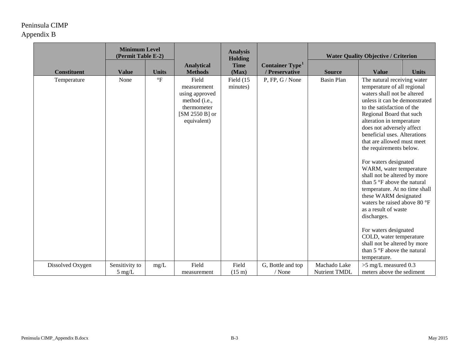|                    | <b>Minimum Level</b><br>(Permit Table E-2) |                          |                                                                                                           |                           | <b>Analysis</b><br><b>Holding</b>                    |                                      | <b>Water Quality Objective / Criterion</b>                                                                                                                                                                                                                                                                                                                                                                                                                                                                                                                                                                                                                                                                                     |              |  |
|--------------------|--------------------------------------------|--------------------------|-----------------------------------------------------------------------------------------------------------|---------------------------|------------------------------------------------------|--------------------------------------|--------------------------------------------------------------------------------------------------------------------------------------------------------------------------------------------------------------------------------------------------------------------------------------------------------------------------------------------------------------------------------------------------------------------------------------------------------------------------------------------------------------------------------------------------------------------------------------------------------------------------------------------------------------------------------------------------------------------------------|--------------|--|
| <b>Constituent</b> | <b>Value</b>                               | <b>Units</b>             | <b>Analytical</b><br><b>Methods</b>                                                                       | <b>Time</b><br>(Max)      | <b>Container Type</b> <sup>1</sup><br>/ Preservative | <b>Source</b>                        | <b>Value</b>                                                                                                                                                                                                                                                                                                                                                                                                                                                                                                                                                                                                                                                                                                                   | <b>Units</b> |  |
| Temperature        | None                                       | $\,{}^{\circ}\mathrm{F}$ | Field<br>measurement<br>using approved<br>method (i.e.,<br>thermometer<br>$[SM 2550 B]$ or<br>equivalent) | Field (15<br>minutes)     | $P$ , FP, G / None                                   | <b>Basin Plan</b>                    | The natural receiving water<br>temperature of all regional<br>waters shall not be altered<br>unless it can be demonstrated<br>to the satisfaction of the<br>Regional Board that such<br>alteration in temperature<br>does not adversely affect<br>beneficial uses. Alterations<br>that are allowed must meet<br>the requirements below.<br>For waters designated<br>WARM, water temperature<br>shall not be altered by more<br>than 5 °F above the natural<br>temperature. At no time shall<br>these WARM designated<br>waters be raised above 80 °F<br>as a result of waste<br>discharges.<br>For waters designated<br>COLD, water temperature<br>shall not be altered by more<br>than 5 °F above the natural<br>temperature. |              |  |
| Dissolved Oxygen   | Sensitivity to<br>$5 \text{ mg/L}$         | mg/L                     | Field<br>measurement                                                                                      | Field<br>$(15 \text{ m})$ | G, Bottle and top<br>$/$ None                        | Machado Lake<br><b>Nutrient TMDL</b> | $>5$ mg/L measured 0.3<br>meters above the sediment                                                                                                                                                                                                                                                                                                                                                                                                                                                                                                                                                                                                                                                                            |              |  |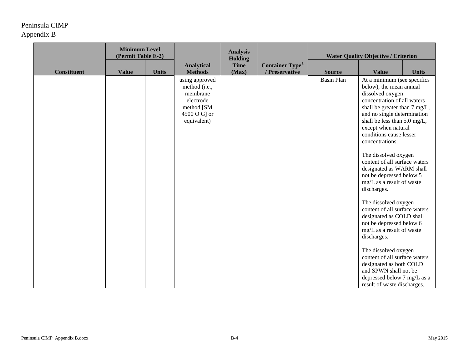|                    | <b>Minimum Level</b><br>(Permit Table E-2) |              |                                                                                                       | <b>Analysis</b><br><b>Holding</b> |                                                      |                   | <b>Water Quality Objective / Criterion</b>                                                                                                                                                                                                                                                                                                                                                                                                                                                                                                                                                                                                                                                                                                                                          |              |
|--------------------|--------------------------------------------|--------------|-------------------------------------------------------------------------------------------------------|-----------------------------------|------------------------------------------------------|-------------------|-------------------------------------------------------------------------------------------------------------------------------------------------------------------------------------------------------------------------------------------------------------------------------------------------------------------------------------------------------------------------------------------------------------------------------------------------------------------------------------------------------------------------------------------------------------------------------------------------------------------------------------------------------------------------------------------------------------------------------------------------------------------------------------|--------------|
| <b>Constituent</b> | <b>Value</b>                               | <b>Units</b> | <b>Analytical</b><br><b>Methods</b>                                                                   | <b>Time</b><br>(Max)              | <b>Container Type</b> <sup>1</sup><br>/ Preservative | <b>Source</b>     | <b>Value</b>                                                                                                                                                                                                                                                                                                                                                                                                                                                                                                                                                                                                                                                                                                                                                                        | <b>Units</b> |
|                    |                                            |              | using approved<br>method (i.e.,<br>membrane<br>electrode<br>method [SM<br>4500 O G] or<br>equivalent) |                                   |                                                      | <b>Basin Plan</b> | At a minimum (see specifics<br>below), the mean annual<br>dissolved oxygen<br>concentration of all waters<br>shall be greater than 7 mg/L,<br>and no single determination<br>shall be less than 5.0 mg/L,<br>except when natural<br>conditions cause lesser<br>concentrations.<br>The dissolved oxygen<br>content of all surface waters<br>designated as WARM shall<br>not be depressed below 5<br>mg/L as a result of waste<br>discharges.<br>The dissolved oxygen<br>content of all surface waters<br>designated as COLD shall<br>not be depressed below 6<br>mg/L as a result of waste<br>discharges.<br>The dissolved oxygen<br>content of all surface waters<br>designated as both COLD<br>and SPWN shall not be<br>depressed below 7 mg/L as a<br>result of waste discharges. |              |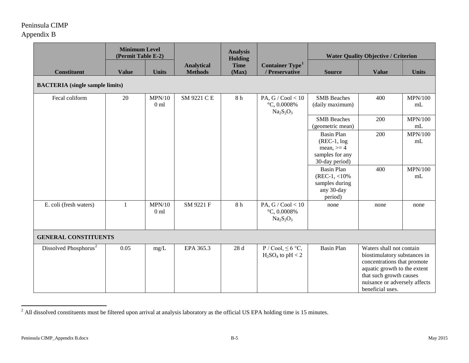<span id="page-5-0"></span>

|                                   | <b>Minimum Level</b><br>(Permit Table E-2) |                           | <b>Analysis</b><br>Holding          |                      |                                                      | <b>Water Quality Objective / Criterion</b>                                               |                                                                                                                                                                                                         |                            |  |  |  |
|-----------------------------------|--------------------------------------------|---------------------------|-------------------------------------|----------------------|------------------------------------------------------|------------------------------------------------------------------------------------------|---------------------------------------------------------------------------------------------------------------------------------------------------------------------------------------------------------|----------------------------|--|--|--|
| <b>Constituent</b>                | <b>Value</b>                               | <b>Units</b>              | <b>Analytical</b><br><b>Methods</b> | <b>Time</b><br>(Max) | <b>Container Type</b> <sup>1</sup><br>/ Preservative | <b>Source</b>                                                                            | <b>Value</b>                                                                                                                                                                                            | <b>Units</b>               |  |  |  |
|                                   | <b>BACTERIA</b> (single sample limits)     |                           |                                     |                      |                                                      |                                                                                          |                                                                                                                                                                                                         |                            |  |  |  |
| Fecal coliform                    | 20                                         | MPN/10<br>0 <sub>m1</sub> | SM 9221 C E                         | 8 h                  | PA, G / Cool < $10$<br>$°C, 0.0008\%$<br>$Na2S2O3$   | <b>SMB</b> Beaches<br>(daily maximum)                                                    | 400                                                                                                                                                                                                     | <b>MPN/100</b><br>mL       |  |  |  |
|                                   |                                            |                           |                                     |                      |                                                      | <b>SMB</b> Beaches<br>(geometric mean)                                                   | 200                                                                                                                                                                                                     | <b>MPN/100</b><br>$\rm mL$ |  |  |  |
|                                   |                                            |                           |                                     |                      |                                                      | <b>Basin Plan</b><br>$(REC-1, log)$<br>mean, $>=$ 4<br>samples for any<br>30-day period) | 200                                                                                                                                                                                                     | <b>MPN/100</b><br>mL       |  |  |  |
|                                   |                                            |                           |                                     |                      |                                                      | <b>Basin Plan</b><br>$(REC-1, <10\%$<br>samples during<br>any 30-day<br>period)          | 400                                                                                                                                                                                                     | <b>MPN/100</b><br>mL       |  |  |  |
| E. coli (fresh waters)            | $\mathbf{1}$                               | MPN/10<br>0 <sub>ml</sub> | SM 9221 F                           | $8\ \mathrm{h}$      | PA, G / Cool $< 10$<br>$°C, 0.0008\%$<br>$Na2S2O3$   | none                                                                                     | none                                                                                                                                                                                                    | none                       |  |  |  |
| <b>GENERAL CONSTITUENTS</b>       |                                            |                           |                                     |                      |                                                      |                                                                                          |                                                                                                                                                                                                         |                            |  |  |  |
| Dissolved Phosphorus <sup>2</sup> | 0.05                                       | mg/L                      | EPA 365.3                           | 28d                  | $P / Cool, \leq 6 °C,$<br>$H_2SO_4$ to pH < 2        | <b>Basin Plan</b>                                                                        | Waters shall not contain<br>biostimulatory substances in<br>concentrations that promote<br>aquatic growth to the extent<br>that such growth causes<br>nuisance or adversely affects<br>beneficial uses. |                            |  |  |  |

 $^2$  All dissolved constituents must be filtered upon arrival at analysis laboratory as the official US EPA holding time is 15 minutes.

l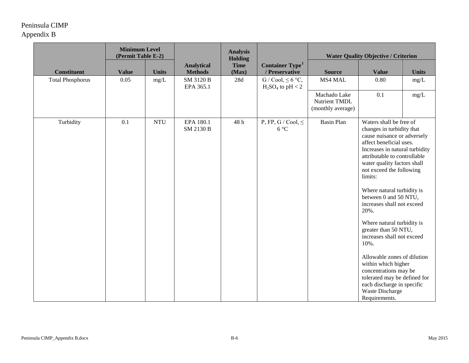|                         | <b>Minimum Level</b><br>(Permit Table E-2) |              |                                     | <b>Analysis</b><br>Holding |                                                      | <b>Water Quality Objective / Criterion</b>         |                                                                                                                                                                                                                                                                                                                                                                                                                                                                                                                                                                                                                                  |              |
|-------------------------|--------------------------------------------|--------------|-------------------------------------|----------------------------|------------------------------------------------------|----------------------------------------------------|----------------------------------------------------------------------------------------------------------------------------------------------------------------------------------------------------------------------------------------------------------------------------------------------------------------------------------------------------------------------------------------------------------------------------------------------------------------------------------------------------------------------------------------------------------------------------------------------------------------------------------|--------------|
| <b>Constituent</b>      | <b>Value</b>                               | <b>Units</b> | <b>Analytical</b><br><b>Methods</b> | <b>Time</b><br>(Max)       | <b>Container Type</b> <sup>1</sup><br>/ Preservative | <b>Source</b>                                      | <b>Value</b>                                                                                                                                                                                                                                                                                                                                                                                                                                                                                                                                                                                                                     | <b>Units</b> |
| <b>Total Phosphorus</b> | 0.05                                       | mg/L         | SM 3120 B<br>EPA 365.1              | $28d$                      | $G / Cool, \leq 6 °C,$<br>$H_2SO_4$ to pH < 2        | MS4 MAL                                            | 0.80                                                                                                                                                                                                                                                                                                                                                                                                                                                                                                                                                                                                                             | mg/L         |
|                         |                                            |              |                                     |                            |                                                      | Machado Lake<br>Nutrient TMDL<br>(monthly average) | 0.1                                                                                                                                                                                                                                                                                                                                                                                                                                                                                                                                                                                                                              | mg/L         |
| Turbidity               | 0.1                                        | <b>NTU</b>   | EPA 180.1<br>SM 2130 B              | 48h                        | P, FP, G / Cool, $\leq$<br>$6^{\circ}C$              | <b>Basin Plan</b>                                  | Waters shall be free of<br>changes in turbidity that<br>cause nuisance or adversely<br>affect beneficial uses.<br>Increases in natural turbidity<br>attributable to controllable<br>water quality factors shall<br>not exceed the following<br>limits:<br>Where natural turbidity is<br>between 0 and 50 NTU,<br>increases shall not exceed<br>20%.<br>Where natural turbidity is<br>greater than 50 NTU,<br>increases shall not exceed<br>10%.<br>Allowable zones of dilution<br>within which higher<br>concentrations may be<br>tolerated may be defined for<br>each discharge in specific<br>Waste Discharge<br>Requirements. |              |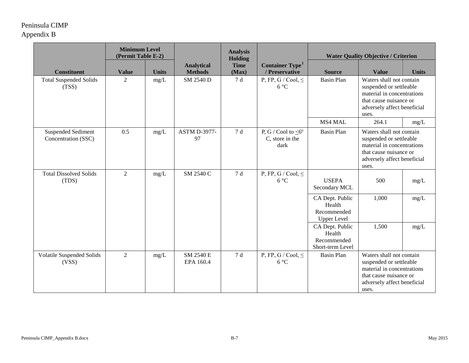|                                                  | <b>Minimum Level</b><br>(Permit Table E-2) |              |                                     | <b>Analysis</b><br><b>Holding</b> |                                                            |                                                                | <b>Water Quality Objective / Criterion</b>                                                                                                          |              |
|--------------------------------------------------|--------------------------------------------|--------------|-------------------------------------|-----------------------------------|------------------------------------------------------------|----------------------------------------------------------------|-----------------------------------------------------------------------------------------------------------------------------------------------------|--------------|
| <b>Constituent</b>                               | <b>Value</b>                               | <b>Units</b> | <b>Analytical</b><br><b>Methods</b> | <b>Time</b><br>(Max)              | <b>Container Type</b> <sup>1</sup><br>/ Preservative       | <b>Source</b>                                                  | <b>Value</b>                                                                                                                                        | <b>Units</b> |
| <b>Total Suspended Solids</b><br>(TSS)           | $\overline{2}$                             | $mg/L$       | SM 2540 D                           | 7 d                               | P, FP, G / Cool, $\leq$<br>$6^{\circ}C$                    | <b>Basin Plan</b>                                              | Waters shall not contain<br>suspended or settleable<br>material in concentrations<br>that cause nuisance or<br>adversely affect beneficial<br>uses. |              |
|                                                  |                                            |              |                                     |                                   |                                                            | MS4 MAL                                                        | 264.1                                                                                                                                               | mg/L         |
| <b>Suspended Sediment</b><br>Concentration (SSC) | 0.5                                        | mg/L         | <b>ASTM D-3977-</b><br>97           | 7 d                               | P, G / Cool to $\leq 6^{\circ}$<br>C, store in the<br>dark | <b>Basin Plan</b>                                              | Waters shall not contain<br>suspended or settleable<br>material in concentrations<br>that cause nuisance or<br>adversely affect beneficial<br>uses. |              |
| <b>Total Dissolved Solids</b><br>(TDS)           | $\overline{2}$                             | mg/L         | SM 2540 C                           | 7 d                               | P, FP, G / Cool, $\leq$<br>$6^{\circ}C$                    | <b>USEPA</b><br>Secondary MCL                                  | 500                                                                                                                                                 | mg/L         |
|                                                  |                                            |              |                                     |                                   |                                                            | CA Dept. Public<br>Health<br>Recommended<br><b>Upper Level</b> | 1,000                                                                                                                                               | mg/L         |
|                                                  |                                            |              |                                     |                                   |                                                            | CA Dept. Public<br>Health<br>Recommended<br>Short-term Level   | 1,500                                                                                                                                               | mg/L         |
| Volatile Suspended Solids<br>(VSS)               | $\overline{2}$                             | mg/L         | SM 2540 E<br>EPA 160.4              | 7 d                               | P, FP, G / Cool, $\leq$<br>$6^{\circ}C$                    | <b>Basin Plan</b>                                              | Waters shall not contain<br>suspended or settleable<br>material in concentrations<br>that cause nuisance or<br>adversely affect beneficial<br>uses. |              |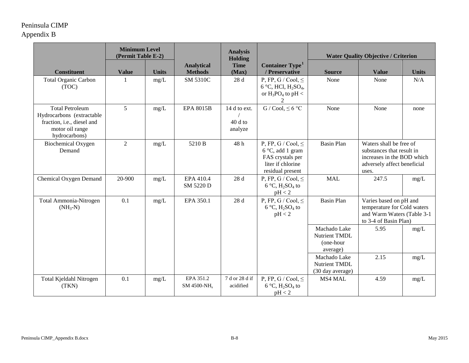|                                                                                                                       | <b>Minimum Level</b><br>(Permit Table E-2) |              |                                      | <b>Analysis</b><br><b>Holding</b>   |                                                                                                                   |                                                               | <b>Water Quality Objective / Criterion</b>                                                                                 |              |
|-----------------------------------------------------------------------------------------------------------------------|--------------------------------------------|--------------|--------------------------------------|-------------------------------------|-------------------------------------------------------------------------------------------------------------------|---------------------------------------------------------------|----------------------------------------------------------------------------------------------------------------------------|--------------|
| <b>Constituent</b>                                                                                                    | <b>Value</b>                               | <b>Units</b> | <b>Analytical</b><br><b>Methods</b>  | <b>Time</b><br>(Max)                | <b>Container Type</b> <sup>1</sup><br>/ Preservative                                                              | <b>Source</b>                                                 | <b>Value</b>                                                                                                               | <b>Units</b> |
| <b>Total Organic Carbon</b><br>(TOC)                                                                                  |                                            | mg/L         | <b>SM 5310C</b>                      | 28 d                                | P, FP, G / Cool, $\leq$<br>$6^{\circ}$ C, HCl, H <sub>2</sub> SO <sub>4</sub> ,<br>or $H_3PO_4$ to pH <           | None                                                          | None                                                                                                                       | N/A          |
| <b>Total Petroleum</b><br>Hydrocarbons (extractable<br>fraction, i.e., diesel and<br>motor oil range<br>hydrocarbons) | 5                                          | mg/L         | <b>EPA 8015B</b>                     | 14 d to ext.<br>$40d$ to<br>analyze | G / Cool, $\leq 6$ °C                                                                                             | None                                                          | None                                                                                                                       | none         |
| <b>Biochemical Oxygen</b><br>Demand                                                                                   | $\overline{2}$                             | mg/L         | 5210 B                               | 48h                                 | P, FP, G / Cool, $\leq$<br>$6^{\circ}$ C, add 1 gram<br>FAS crystals per<br>liter if chlorine<br>residual present | <b>Basin Plan</b>                                             | Waters shall be free of<br>substances that result in<br>increases in the BOD which<br>adversely affect beneficial<br>uses. |              |
| Chemical Oxygen Demand                                                                                                | 20-900                                     | mg/L         | EPA 410.4<br>SM 5220 D               | 28 d                                | P, FP, G / Cool, $\leq$<br>$6^{\circ}$ C, H <sub>2</sub> SO <sub>4</sub> to<br>pH < 2                             | <b>MAL</b>                                                    | 247.5                                                                                                                      | mg/L         |
| Total Ammonia-Nitrogen<br>$(NH_3-N)$                                                                                  | 0.1                                        | mg/L         | EPA 350.1                            | 28 d                                | P, FP, G / Cool, $\leq$<br>$6^{\circ}$ C, H <sub>2</sub> SO <sub>4</sub> to<br>pH < 2                             | <b>Basin Plan</b>                                             | Varies based on pH and<br>temperature for Cold waters<br>and Warm Waters (Table 3-1<br>to 3-4 of Basin Plan)               |              |
|                                                                                                                       |                                            |              |                                      |                                     |                                                                                                                   | Machado Lake<br><b>Nutrient TMDL</b><br>(one-hour<br>average) | 5.95                                                                                                                       | mg/L         |
|                                                                                                                       |                                            |              |                                      |                                     |                                                                                                                   | Machado Lake<br><b>Nutrient TMDL</b><br>(30 day average)      | 2.15                                                                                                                       | mg/L         |
| Total Kjeldahl Nitrogen<br>(TKN)                                                                                      | 0.1                                        | mg/L         | EPA 351.2<br>SM 4500-NH <sub>s</sub> | 7 d or 28 d if<br>acidified         | P, FP, G / Cool, $\leq$<br>$6^{\circ}$ C, H <sub>2</sub> SO <sub>4</sub> to<br>pH < 2                             | MS4 MAL                                                       | 4.59                                                                                                                       | mg/L         |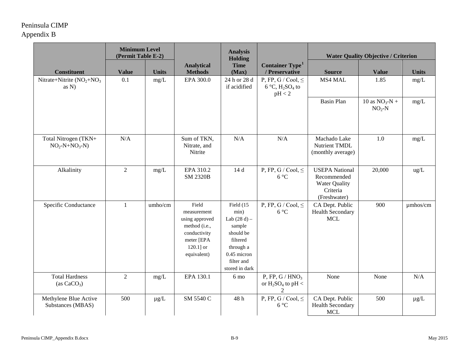|                                            | <b>Minimum Level</b><br>(Permit Table E-2) |              |                                                                                                                      | <b>Analysis</b><br><b>Holding</b>                                                                                                  |                                                                                       | <b>Water Quality Objective / Criterion</b>                                               |                             |               |
|--------------------------------------------|--------------------------------------------|--------------|----------------------------------------------------------------------------------------------------------------------|------------------------------------------------------------------------------------------------------------------------------------|---------------------------------------------------------------------------------------|------------------------------------------------------------------------------------------|-----------------------------|---------------|
| <b>Constituent</b>                         | <b>Value</b>                               | <b>Units</b> | <b>Analytical</b><br><b>Methods</b>                                                                                  | <b>Time</b><br>(Max)                                                                                                               | Container Type <sup>1</sup><br>/ Preservative                                         | <b>Source</b>                                                                            | <b>Value</b>                | <b>Units</b>  |
| Nitrate+Nitrite $(NO2+NO3)$<br>as $N$ )    | 0.1                                        | mg/L         | EPA 300.0                                                                                                            | 24 h or 28 d<br>if acidified                                                                                                       | P, FP, G / Cool, $\leq$<br>$6^{\circ}$ C, H <sub>2</sub> SO <sub>4</sub> to<br>pH < 2 | MS4 MAL                                                                                  | 1.85                        | mg/L          |
|                                            |                                            |              |                                                                                                                      |                                                                                                                                    |                                                                                       | <b>Basin Plan</b>                                                                        | 10 as $NO_3-N +$<br>$NO2-N$ | mg/L          |
| Total Nitrogen (TKN+<br>$NO_2-N+NO_3-N)$   | N/A                                        |              | Sum of TKN,<br>Nitrate, and<br>Nitrite                                                                               | N/A                                                                                                                                | N/A                                                                                   | Machado Lake<br>Nutrient TMDL<br>(monthly average)                                       | 1.0                         | mg/L          |
| Alkalinity                                 | 2                                          | mg/L         | EPA 310.2<br><b>SM 2320B</b>                                                                                         | 14 d                                                                                                                               | P, FP, G / Cool, $\leq$<br>$6^{\circ}C$                                               | <b>USEPA National</b><br>Recommended<br><b>Water Quality</b><br>Criteria<br>(Freshwater) | 20,000                      | ug/L          |
| Specific Conductance                       | $\mathbf{1}$                               | umho/cm      | Field<br>measurement<br>using approved<br>method (i.e.,<br>conductivity<br>meter [EPA<br>$120.1$ ] or<br>equivalent) | Field (15<br>min)<br>Lab $(28 d) -$<br>sample<br>should be<br>filtered<br>through a<br>0.45 micron<br>filter and<br>stored in dark | P, FP, G / Cool, $\leq$<br>$6^{\circ}C$                                               | CA Dept. Public<br><b>Health Secondary</b><br><b>MCL</b>                                 | 900                         | $\mu$ mhos/cm |
| <b>Total Hardness</b><br>(as $CaCO3$ )     | $\overline{2}$                             | mg/L         | EPA 130.1                                                                                                            | 6 <sub>mo</sub>                                                                                                                    | P, FP, G / $HNO3$<br>or $H_2SO_4$ to pH <<br>2                                        | None                                                                                     | None                        | N/A           |
| Methylene Blue Active<br>Substances (MBAS) | 500                                        | $\mu g/L$    | SM 5540 C                                                                                                            | 48h                                                                                                                                | P, FP, G / Cool, $\leq$<br>$6^{\circ}C$                                               | CA Dept. Public<br><b>Health Secondary</b><br><b>MCL</b>                                 | 500                         | $\mu$ g/L     |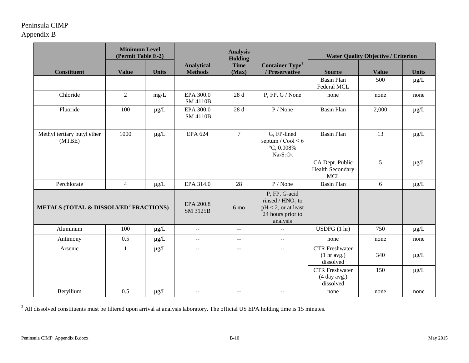<span id="page-10-0"></span>

| <b>Minimum Level</b><br>(Permit Table E-2) |                                                   |              | <b>Analysis</b><br><b>Holding</b>             |                      | <b>Water Quality Objective / Criterion</b>                                                     |                                                          |              |              |
|--------------------------------------------|---------------------------------------------------|--------------|-----------------------------------------------|----------------------|------------------------------------------------------------------------------------------------|----------------------------------------------------------|--------------|--------------|
| <b>Constituent</b>                         | <b>Value</b>                                      | <b>Units</b> | <b>Analytical</b><br><b>Methods</b>           | <b>Time</b><br>(Max) | <b>Container Type</b> <sup>1</sup><br>/ Preservative                                           | <b>Source</b>                                            | <b>Value</b> | <b>Units</b> |
|                                            |                                                   |              |                                               |                      |                                                                                                | <b>Basin Plan</b><br>Federal MCL                         | 500          | $\mu g/L$    |
| Chloride                                   | $\overline{2}$                                    | mg/L         | EPA 300.0<br><b>SM 4110B</b>                  | 28 d                 | P, FP, G / None                                                                                | none                                                     | none         | none         |
| Fluoride                                   | 100                                               | $\mu g/L$    | EPA 300.0<br><b>SM 4110B</b>                  | 28 d                 | P / None                                                                                       | <b>Basin Plan</b>                                        | 2,000        | $\mu g/L$    |
| Methyl tertiary butyl ether<br>(MTBE)      | 1000                                              | $\mu$ g/L    | <b>EPA 624</b>                                | $\tau$               | G, FP-lined<br>septum / $\text{Cool} \leq 6$<br>$\degree$ C, 0.008%<br>$Na2S2O3$               | <b>Basin Plan</b>                                        | 13           | $\mu g/L$    |
|                                            |                                                   |              |                                               |                      |                                                                                                | CA Dept. Public<br><b>Health Secondary</b><br><b>MCL</b> | 5            | $\mu$ g/L    |
| Perchlorate                                | $\overline{4}$                                    | $\mu g/L$    | EPA 314.0                                     | 28                   | P / None                                                                                       | <b>Basin Plan</b>                                        | $\sqrt{6}$   | $\mu g/L$    |
|                                            | METALS (TOTAL & DISSOLVED <sup>3</sup> FRACTIONS) |              |                                               | 6 mo                 | P, FP, G-acid<br>rinsed / $HNO3$ to<br>$pH < 2$ , or at least<br>24 hours prior to<br>analysis |                                                          |              |              |
| Aluminum                                   | 100                                               | $\mu$ g/L    | $\mathord{\hspace{1pt}\text{--}\hspace{1pt}}$ | $\mathcal{L} =$      | $\overline{\phantom{a}}$                                                                       | USDFG(1 hr)                                              | 750          | $\mu$ g/L    |
| Antimony                                   | 0.5                                               | $\mu$ g/L    | $\mathbb{L}^{\mathbb{L}}$                     | $\overline{a}$       | $\mathbb{L}^{\mathbb{L}}$                                                                      | none                                                     | none         | none         |
| Arsenic                                    | 1                                                 | $\mu$ g/L    | $\overline{a}$                                | $\overline{a}$       | $\overline{\phantom{a}}$                                                                       | <b>CTR</b> Freshwater<br>(1 hr avg.)<br>dissolved        | 340          | $\mu$ g/L    |
|                                            |                                                   |              |                                               |                      |                                                                                                | <b>CTR</b> Freshwater<br>(4 day avg.)<br>dissolved       | 150          | $\mu g/L$    |
| Beryllium                                  | 0.5                                               | $\mu g/L$    | $\mathbf{u} = \mathbf{v}$                     | $\mathbf{u}$         | $\mathbb{L}^{\mathbb{L}}$                                                                      | none                                                     | none         | none         |

 $3$  All dissolved constituents must be filtered upon arrival at analysis laboratory. The official US EPA holding time is 15 minutes.

l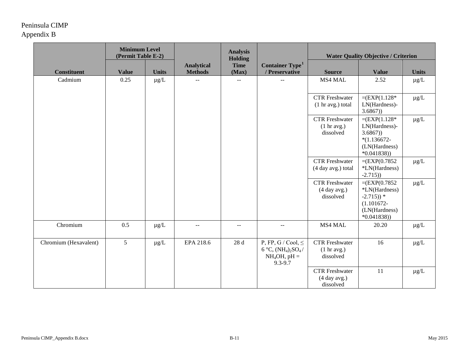|                       | <b>Minimum Level</b><br>(Permit Table E-2) |              |                                               | <b>Analysis</b><br><b>Holding</b>             |                                                                                | <b>Water Quality Objective / Criterion</b>                  |                                                                                                               |              |
|-----------------------|--------------------------------------------|--------------|-----------------------------------------------|-----------------------------------------------|--------------------------------------------------------------------------------|-------------------------------------------------------------|---------------------------------------------------------------------------------------------------------------|--------------|
| <b>Constituent</b>    | <b>Value</b>                               | <b>Units</b> | <b>Analytical</b><br><b>Methods</b>           | <b>Time</b><br>(Max)                          | <b>Container Type</b> <sup>1</sup><br>/ Preservative                           | <b>Source</b>                                               | <b>Value</b>                                                                                                  | <b>Units</b> |
| Cadmium               | 0.25                                       | $\mu$ g/L    | $\mathord{\hspace{1pt}\text{--}\hspace{1pt}}$ | $\mathord{\hspace{1pt}\text{--}\hspace{1pt}}$ | $-$                                                                            | MS4 MAL                                                     | 2.52                                                                                                          | $\mu g/L$    |
|                       |                                            |              |                                               |                                               |                                                                                | <b>CTR</b> Freshwater<br>(1 hr avg.) total                  | $= (EXP(1.128*)$<br>LN(Hardness)-<br>3.6867)                                                                  | $\mu g/L$    |
|                       |                                            |              |                                               |                                               |                                                                                | <b>CTR</b> Freshwater<br>$(1 \text{ hr avg.})$<br>dissolved | $= (EXP(1.128*)$<br>LN(Hardness)-<br>3.6867)<br>$*(1.136672 -$<br>(LN(Hardness)<br>$*0.041838)$               | $\mu$ g/L    |
|                       |                                            |              |                                               |                                               |                                                                                | <b>CTR</b> Freshwater<br>(4 day avg.) total                 | $=$ (EXP(0.7852)<br>*LN(Hardness)<br>$-2.715)$                                                                | $\mu g/L$    |
|                       |                                            |              |                                               |                                               |                                                                                | <b>CTR</b> Freshwater<br>(4 day avg.)<br>dissolved          | $=$ (EXP(0.7852)<br>*LN(Hardness)<br>$-2.715)$ <sup>*</sup><br>$(1.101672 -$<br>(LN(Hardness)<br>$*0.041838)$ | $\mu g/L$    |
| Chromium              | 0.5                                        | $\mu$ g/L    | $\mathcal{L} \mathcal{L}$                     | $\overline{a}$                                | $-$                                                                            | MS4 MAL                                                     | 20.20                                                                                                         | $\mu$ g/L    |
| Chromium (Hexavalent) | 5                                          | $\mu g/L$    | EPA 218.6                                     | 28d                                           | P, FP, G / Cool, $\leq$<br>6 °C, $(NH_4)_2SO_4/$<br>$NH_4OH$ , pH =<br>9.3-9.7 | <b>CTR</b> Freshwater<br>(1 hr avg.)<br>dissolved           | 16                                                                                                            | $\mu g/L$    |
|                       |                                            |              |                                               |                                               |                                                                                | <b>CTR</b> Freshwater<br>(4 day avg.)<br>dissolved          | 11                                                                                                            | $\mu g/L$    |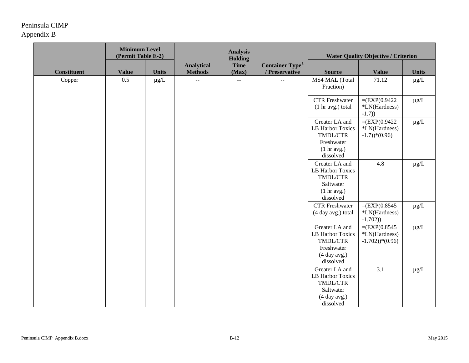|                    | <b>Minimum Level</b><br>(Permit Table E-2) |              |                                     | <b>Analysis</b><br><b>Holding</b> |                                                      | <b>Water Quality Objective / Criterion</b>                                                      |                                                                      |              |
|--------------------|--------------------------------------------|--------------|-------------------------------------|-----------------------------------|------------------------------------------------------|-------------------------------------------------------------------------------------------------|----------------------------------------------------------------------|--------------|
| <b>Constituent</b> | <b>Value</b>                               | <b>Units</b> | <b>Analytical</b><br><b>Methods</b> | <b>Time</b><br>(Max)              | <b>Container Type</b> <sup>1</sup><br>/ Preservative | <b>Source</b>                                                                                   | <b>Value</b>                                                         | <b>Units</b> |
| Copper             | 0.5                                        | $\mu g/L$    | $-$                                 | $-$                               |                                                      | MS4 MAL (Total<br>Fraction)                                                                     | 71.12                                                                | $\mu g/L$    |
|                    |                                            |              |                                     |                                   |                                                      | <b>CTR</b> Freshwater<br>(1 hr avg.) total                                                      | $=$ (EXP(0.9422)<br>*LN(Hardness)<br>$-1.7)$                         | $\mu g/L$    |
|                    |                                            |              |                                     |                                   |                                                      | Greater LA and<br><b>LB Harbor Toxics</b><br>TMDL/CTR<br>Freshwater<br>(1 hr avg.)<br>dissolved | $=$ (EXP(0.9422)<br>*LN(Hardness)<br>$-1.7)$ <sup>*</sup> $(0.96)$   | $\mu g/L$    |
|                    |                                            |              |                                     |                                   |                                                      | Greater LA and<br>LB Harbor Toxics<br>TMDL/CTR<br>Saltwater<br>(1 hr avg.)<br>dissolved         | 4.8                                                                  | $\mu g/L$    |
|                    |                                            |              |                                     |                                   |                                                      | <b>CTR</b> Freshwater<br>(4 day avg.) total                                                     | $=$ (EXP(0.8545)<br>*LN(Hardness)<br>$-1.702)$                       | $\mu g/L$    |
|                    |                                            |              |                                     |                                   |                                                      | Greater LA and<br>LB Harbor Toxics<br>TMDL/CTR<br>Freshwater<br>(4 day avg.)<br>dissolved       | $=$ (EXP(0.8545)<br>*LN(Hardness)<br>$-1.702)$ <sup>*</sup> $(0.96)$ | $\mu g/L$    |
|                    |                                            |              |                                     |                                   |                                                      | Greater LA and<br>LB Harbor Toxics<br>TMDL/CTR<br>Saltwater<br>(4 day avg.)<br>dissolved        | 3.1                                                                  | $\mu g/L$    |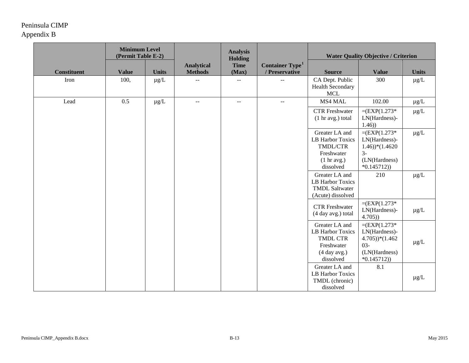|                    | <b>Minimum Level</b><br>(Permit Table E-2) |              |                                               | <b>Analysis</b><br><b>Holding</b>             |                                                      | <b>Water Quality Objective / Criterion</b>                                                       |                                                                                                                |              |
|--------------------|--------------------------------------------|--------------|-----------------------------------------------|-----------------------------------------------|------------------------------------------------------|--------------------------------------------------------------------------------------------------|----------------------------------------------------------------------------------------------------------------|--------------|
| <b>Constituent</b> | <b>Value</b>                               | <b>Units</b> | <b>Analytical</b><br><b>Methods</b>           | <b>Time</b><br>(Max)                          | <b>Container Type</b> <sup>1</sup><br>/ Preservative | <b>Source</b>                                                                                    | <b>Value</b>                                                                                                   | <b>Units</b> |
| Iron               | 100,                                       | $\mu$ g/L    | $\mathord{\hspace{1pt}\text{--}\hspace{1pt}}$ | $\mathord{\hspace{1pt}\text{--}\hspace{1pt}}$ | --                                                   | CA Dept. Public<br><b>Health Secondary</b><br><b>MCL</b>                                         | 300                                                                                                            | $\mu g/L$    |
| Lead               | 0.5                                        | $\mu g/L$    | $\sim$ $\sim$                                 | $\mathbb{L} \mathbb{L}$                       | $-$                                                  | MS4 MAL                                                                                          | 102.00                                                                                                         | $\mu g/L$    |
|                    |                                            |              |                                               |                                               |                                                      | <b>CTR</b> Freshwater<br>(1 hr avg.) total                                                       | $= (EXP(1.273*)$<br>LN(Hardness)-<br>1.46)                                                                     | $\mu g/L$    |
|                    |                                            |              |                                               |                                               |                                                      | Greater LA and<br><b>LB Harbor Toxics</b><br>TMDL/CTR<br>Freshwater<br>(1 hr avg.)<br>dissolved  | $= (EXP(1.273*)$<br>LN(Hardness)-<br>$(1.46)$ <sup>*</sup> $(1.4620)$<br>$3-$<br>(LN(Hardness)<br>$*0.145712)$ | $\mu g/L$    |
|                    |                                            |              |                                               |                                               |                                                      | Greater LA and<br>LB Harbor Toxics<br><b>TMDL Saltwater</b><br>(Acute) dissolved                 | 210                                                                                                            | $\mu g/L$    |
|                    |                                            |              |                                               |                                               |                                                      | <b>CTR</b> Freshwater<br>(4 day avg.) total                                                      | $= (EXP(1.273*)$<br>LN(Hardness)-<br>4.705)                                                                    | $\mu g/L$    |
|                    |                                            |              |                                               |                                               |                                                      | Greater LA and<br>LB Harbor Toxics<br><b>TMDL CTR</b><br>Freshwater<br>(4 day avg.)<br>dissolved | $= (EXP(1.273*)$<br>LN(Hardness)-<br>$(4.705))*(1.462)$<br>$03 -$<br>(LN(Hardness)<br>$*0.145712)$             | $\mu g/L$    |
|                    |                                            |              |                                               |                                               |                                                      | Greater LA and<br>LB Harbor Toxics<br>TMDL (chronic)<br>dissolved                                | 8.1                                                                                                            | $\mu$ g/L    |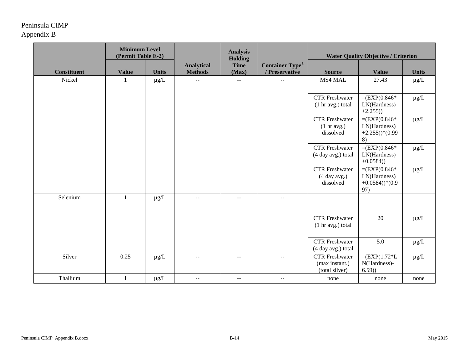|                    | <b>Minimum Level</b><br>(Permit Table E-2) |              |                                     | <b>Analysis</b><br><b>Holding</b> |                                               | <b>Water Quality Objective / Criterion</b>                |                                                                          |              |
|--------------------|--------------------------------------------|--------------|-------------------------------------|-----------------------------------|-----------------------------------------------|-----------------------------------------------------------|--------------------------------------------------------------------------|--------------|
| <b>Constituent</b> | <b>Value</b>                               | <b>Units</b> | <b>Analytical</b><br><b>Methods</b> | <b>Time</b><br>(Max)              | Container Type <sup>1</sup><br>/ Preservative | <b>Source</b>                                             | <b>Value</b>                                                             | <b>Units</b> |
| Nickel             | 1                                          | $\mu g/L$    | $\sim$ $-$                          | $\overline{\phantom{m}}$          | $-$                                           | MS4 MAL                                                   | 27.43                                                                    | $\mu g/L$    |
|                    |                                            |              |                                     |                                   |                                               | <b>CTR</b> Freshwater<br>(1 hr avg.) total                | $=$ (EXP(0.846*<br>LN(Hardness)<br>$+2.255)$                             | $\mu g/L$    |
|                    |                                            |              |                                     |                                   |                                               | <b>CTR</b> Freshwater<br>(1 hr avg.)<br>dissolved         | $=$ (EXP(0.846*<br>LN(Hardness)<br>$+2.255)$ <sup>*</sup> $(0.99$<br>8)  | $\mu g/L$    |
|                    |                                            |              |                                     |                                   |                                               | <b>CTR</b> Freshwater<br>(4 day avg.) total               | $=$ (EXP(0.846*<br>LN(Hardness)<br>$+0.0584)$                            | $\mu g/L$    |
|                    |                                            |              |                                     |                                   |                                               | <b>CTR</b> Freshwater<br>(4 day avg.)<br>dissolved        | $=$ (EXP(0.846*<br>LN(Hardness)<br>$+0.0584)$ <sup>*</sup> $(0.9$<br>97) | $\mu g/L$    |
| Selenium           | $\mathbf{1}$                               | $\mu g/L$    | $\sim$                              | --                                | $-$                                           |                                                           |                                                                          |              |
|                    |                                            |              |                                     |                                   |                                               | <b>CTR</b> Freshwater<br>$(1 \text{ hr avg.})$ total      | 20                                                                       | $\mu g/L$    |
|                    |                                            |              |                                     |                                   |                                               | <b>CTR</b> Freshwater<br>(4 day avg.) total               | 5.0                                                                      | $\mu g/L$    |
| Silver             | 0.25                                       | $\mu$ g/L    | $ -$                                | $- -$                             | $--$                                          | <b>CTR</b> Freshwater<br>(max instant.)<br>(total silver) | $= (EXP(1.72)L)$<br>N(Hardness)-<br>(6.59)                               | $\mu g/L$    |
| Thallium           | 1                                          | $\mu$ g/L    | $\mathbf{u}$                        | $\mathbb{L} \mathbb{L}$           | $\mathbf{u}$                                  | none                                                      | none                                                                     | none         |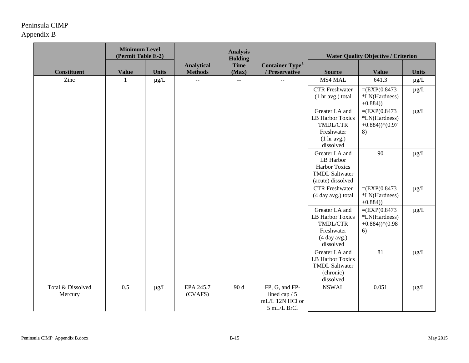|                              | <b>Minimum Level</b><br>(Permit Table E-2) |              |                                     | <b>Analysis</b><br><b>Holding</b> |                                                                     | <b>Water Quality Objective / Criterion</b>                                                         |                                                                           |                 |
|------------------------------|--------------------------------------------|--------------|-------------------------------------|-----------------------------------|---------------------------------------------------------------------|----------------------------------------------------------------------------------------------------|---------------------------------------------------------------------------|-----------------|
| <b>Constituent</b>           | <b>Value</b>                               | <b>Units</b> | <b>Analytical</b><br><b>Methods</b> | <b>Time</b><br>(Max)              | Container Type <sup>1</sup><br>/ Preservative                       | <b>Source</b>                                                                                      | <b>Value</b>                                                              | <b>Units</b>    |
| Zinc                         | $\mathbf{1}$                               | $\mu$ g/L    | $\sim$ $\sim$                       | $\overline{\phantom{a}}$          |                                                                     | MS4 MAL                                                                                            | 641.3                                                                     | $\mu g/L$       |
|                              |                                            |              |                                     |                                   |                                                                     | <b>CTR</b> Freshwater<br>(1 hr avg.) total                                                         | $=$ (EXP(0.8473)<br>*LN(Hardness)<br>$+0.884)$                            | $\mu g/L$       |
|                              |                                            |              |                                     |                                   |                                                                     | Greater LA and<br>LB Harbor Toxics<br>TMDL/CTR<br>Freshwater<br>$(1 \text{ hr avg.})$<br>dissolved | $=$ (EXP(0.8473)<br>*LN(Hardness)<br>$+0.884)$ <sup>*</sup> $(0.97$<br>8) | $\mu\text{g}/L$ |
|                              |                                            |              |                                     |                                   |                                                                     | Greater LA and<br>LB Harbor<br><b>Harbor Toxics</b><br><b>TMDL Saltwater</b><br>(acute) dissolved  | 90                                                                        | $\mu g/L$       |
|                              |                                            |              |                                     |                                   |                                                                     | <b>CTR</b> Freshwater<br>(4 day avg.) total                                                        | $=$ (EXP(0.8473)<br>*LN(Hardness)<br>$+0.884)$                            | $\mu g/L$       |
|                              |                                            |              |                                     |                                   |                                                                     | Greater LA and<br>LB Harbor Toxics<br>TMDL/CTR<br>Freshwater<br>(4 day avg.)<br>dissolved          | $= (EXP(0.8473)$<br>*LN(Hardness)<br>$+0.884)$ <sup>*</sup> $(0.98$<br>6) | $\mu g/L$       |
|                              |                                            |              |                                     |                                   |                                                                     | Greater LA and<br>LB Harbor Toxics<br><b>TMDL Saltwater</b><br>(chronic)<br>dissolved              | 81                                                                        | $\mu g/L$       |
| Total & Dissolved<br>Mercury | 0.5                                        | $\mu g/L$    | EPA 245.7<br>(CVAFS)                | 90 d                              | FP, G, and FP-<br>lined cap $/ 5$<br>mL/L 12N HCl or<br>5 mL/L BrCl | <b>NSWAL</b>                                                                                       | 0.051                                                                     | $\mu\text{g}/L$ |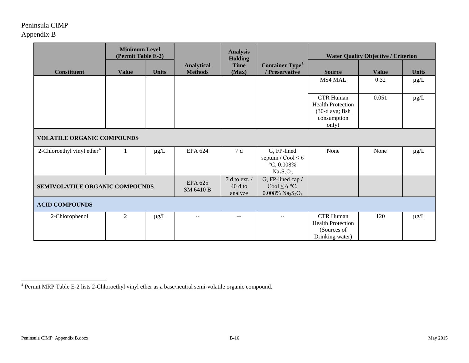<span id="page-16-0"></span>

|                                        | <b>Minimum Level</b><br>(Permit Table E-2) |              |                                     | <b>Analysis</b><br><b>Holding</b>        |                                                                                                   |                                                                                         | <b>Water Quality Objective / Criterion</b> |              |  |  |
|----------------------------------------|--------------------------------------------|--------------|-------------------------------------|------------------------------------------|---------------------------------------------------------------------------------------------------|-----------------------------------------------------------------------------------------|--------------------------------------------|--------------|--|--|
| <b>Constituent</b>                     | <b>Value</b>                               | <b>Units</b> | <b>Analytical</b><br><b>Methods</b> | <b>Time</b><br>(Max)                     | Container Type <sup>1</sup><br>/ Preservative                                                     | <b>Source</b>                                                                           | <b>Value</b>                               | <b>Units</b> |  |  |
|                                        |                                            |              |                                     |                                          |                                                                                                   | MS4 MAL                                                                                 | 0.32                                       | $\mu g/L$    |  |  |
|                                        |                                            |              |                                     |                                          |                                                                                                   | <b>CTR Human</b><br><b>Health Protection</b><br>(30-d avg; fish<br>consumption<br>only) | 0.051                                      | $\mu g/L$    |  |  |
| <b>VOLATILE ORGANIC COMPOUNDS</b>      |                                            |              |                                     |                                          |                                                                                                   |                                                                                         |                                            |              |  |  |
| 2-Chloroethyl vinyl ether <sup>4</sup> | 1                                          | $\mu g/L$    | <b>EPA 624</b>                      | 7 d                                      | G, FP-lined<br>septum / $\text{Cool} \leq 6$<br>$°C, 0.008\%$<br>$Na2S2O3$                        | None                                                                                    | None                                       | $\mu$ g/L    |  |  |
| SEMIVOLATILE ORGANIC COMPOUNDS         |                                            |              | EPA 625<br>SM 6410 B                | $7$ d to ext. $/$<br>$40d$ to<br>analyze | G, FP-lined cap /<br>Cool $\leq 6$ °C,<br>$0.008\%$ Na <sub>2</sub> S <sub>2</sub> O <sub>3</sub> |                                                                                         |                                            |              |  |  |
| <b>ACID COMPOUNDS</b>                  |                                            |              |                                     |                                          |                                                                                                   |                                                                                         |                                            |              |  |  |
| 2-Chlorophenol                         | $\overline{2}$                             | $\mu g/L$    | --                                  |                                          |                                                                                                   | <b>CTR Human</b><br><b>Health Protection</b><br>(Sources of<br>Drinking water)          | 120                                        | $\mu g/L$    |  |  |

 $4$  Permit MRP Table E-2 lists 2-Chloroethyl vinyl ether as a base/neutral semi-volatile organic compound. l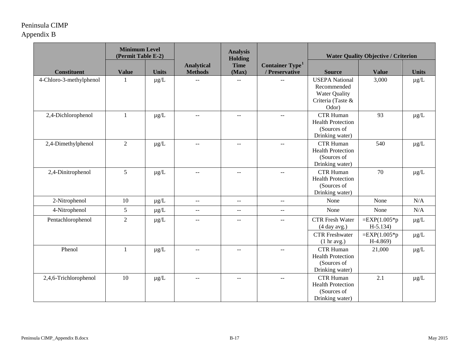|                         | <b>Minimum Level</b><br>(Permit Table E-2) |              |                                               | <b>Analysis</b><br>Holding                    |                                               | <b>Water Quality Objective / Criterion</b>                                                 |                               |              |
|-------------------------|--------------------------------------------|--------------|-----------------------------------------------|-----------------------------------------------|-----------------------------------------------|--------------------------------------------------------------------------------------------|-------------------------------|--------------|
| <b>Constituent</b>      | <b>Value</b>                               | <b>Units</b> | <b>Analytical</b><br><b>Methods</b>           | <b>Time</b><br>(Max)                          | Container Type <sup>1</sup><br>/ Preservative | <b>Source</b>                                                                              | <b>Value</b>                  | <b>Units</b> |
| 4-Chloro-3-methylphenol | $\mathbf{1}$                               | $\mu g/L$    |                                               | $\mathord{\hspace{1pt}\text{--}\hspace{1pt}}$ |                                               | <b>USEPA National</b><br>Recommended<br><b>Water Quality</b><br>Criteria (Taste &<br>Odor) | 3,000                         | $\mu g/L$    |
| 2,4-Dichlorophenol      | $\mathbf{1}$                               | $\mu$ g/L    | $- -$                                         | $\sim$ $\sim$                                 | $-1$                                          | <b>CTR Human</b><br><b>Health Protection</b><br>(Sources of<br>Drinking water)             | 93                            | $\mu g/L$    |
| 2,4-Dimethylphenol      | $\sqrt{2}$                                 | $\mu$ g/L    | $\mathbf{u}$                                  | $\mathbf{u} = \mathbf{v}$                     | $\overline{a}$                                | <b>CTR Human</b><br><b>Health Protection</b><br>(Sources of<br>Drinking water)             | 540                           | $\mu g/L$    |
| 2,4-Dinitrophenol       | 5                                          | $\mu g/L$    | $\mathord{\hspace{1pt}\text{--}\hspace{1pt}}$ | $\mathcal{L}=\mathcal{L}$                     | $\overline{\phantom{a}}$                      | <b>CTR Human</b><br><b>Health Protection</b><br>(Sources of<br>Drinking water)             | 70                            | $\mu g/L$    |
| 2-Nitrophenol           | 10                                         | $\mu g/L$    | $\sim$ $\sim$                                 | $\sim$ $-$                                    | $\mathord{\hspace{1pt}\text{--}\hspace{1pt}}$ | None                                                                                       | None                          | N/A          |
| 4-Nitrophenol           | 5                                          | $\mu$ g/L    | $\sim$ $\sim$                                 | $\overline{a}$                                | $-$                                           | None                                                                                       | None                          | N/A          |
| Pentachlorophenol       | $\overline{2}$                             | $\mu g/L$    | $- -$                                         | $\sim$ $\sim$                                 | --                                            | <b>CTR</b> Fresh Water<br>(4 day avg.)                                                     | $=$ EXP(1.005*p<br>$H-5.134)$ | $\mu g/L$    |
|                         |                                            |              |                                               |                                               |                                               | <b>CTR</b> Freshwater<br>$(1 \text{ hr avg.})$                                             | $=$ EXP(1.005*p<br>$H-4.869$  | $\mu g/L$    |
| Phenol                  | $\mathbf{1}$                               | $\mu g/L$    | $\overline{a}$                                | $\sim$ $\sim$                                 | $\mathord{\hspace{1pt}\text{--}\hspace{1pt}}$ | <b>CTR Human</b><br><b>Health Protection</b><br>(Sources of<br>Drinking water)             | 21,000                        | $\mu g/L$    |
| 2,4,6-Trichlorophenol   | 10                                         | $\mu g/L$    | --                                            | $- -$                                         | $\mathcal{L}_{\mathcal{F}}$                   | <b>CTR Human</b><br><b>Health Protection</b><br>(Sources of<br>Drinking water)             | 2.1                           | $\mu g/L$    |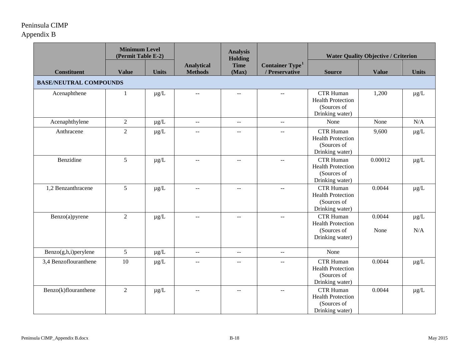|                               | <b>Minimum Level</b><br>(Permit Table E-2) |              |                                               | <b>Analysis</b><br>Holding  |                                                      |                                                                                | <b>Water Quality Objective / Criterion</b> |                  |
|-------------------------------|--------------------------------------------|--------------|-----------------------------------------------|-----------------------------|------------------------------------------------------|--------------------------------------------------------------------------------|--------------------------------------------|------------------|
| <b>Constituent</b>            | <b>Value</b>                               | <b>Units</b> | <b>Analytical</b><br><b>Methods</b>           | <b>Time</b><br>(Max)        | <b>Container Type</b> <sup>1</sup><br>/ Preservative | <b>Source</b>                                                                  | <b>Value</b>                               | <b>Units</b>     |
| <b>BASE/NEUTRAL COMPOUNDS</b> |                                            |              |                                               |                             |                                                      |                                                                                |                                            |                  |
| Acenaphthene                  | $\mathbf{1}$                               | $\mu g/L$    | $-$                                           | $-$                         |                                                      | <b>CTR Human</b><br><b>Health Protection</b><br>(Sources of<br>Drinking water) | 1,200                                      | $\mu g/L$        |
| Acenaphthylene                | $\overline{2}$                             | $\mu g/L$    | $\mathbb{L}^{\mathbb{L}}$                     | $\mathbb{L}^{\mathbb{L}}$   | $\mathbb{L}^{\mathbb{L}}$                            | None                                                                           | None                                       | N/A              |
| Anthracene                    | $\overline{2}$                             | $\mu g/L$    | $\sim$                                        | $\sim$ $\sim$               | $-$                                                  | <b>CTR Human</b><br><b>Health Protection</b><br>(Sources of<br>Drinking water) | 9,600                                      | $\mu g/L$        |
| Benzidine                     | 5                                          | $\mu g/L$    | $\overline{a}$                                | $\overline{a}$              | $\mathbb{L}^{\mathbb{L}}$                            | <b>CTR Human</b><br><b>Health Protection</b><br>(Sources of<br>Drinking water) | 0.00012                                    | $\mu g/L$        |
| 1,2 Benzanthracene            | 5                                          | $\mu g/L$    | $\mathord{\hspace{1pt}\text{--}\hspace{1pt}}$ | $\mathcal{L} = \mathcal{L}$ | $-$                                                  | <b>CTR Human</b><br><b>Health Protection</b><br>(Sources of<br>Drinking water) | 0.0044                                     | $\mu g/L$        |
| Benzo(a)pyrene                | $\overline{2}$                             | $\mu g/L$    | $\mathord{\hspace{1pt}\text{--}\hspace{1pt}}$ | $\mathcal{L} = \mathcal{L}$ | $\mathcal{L}_{\mathcal{F}}$                          | <b>CTR Human</b><br><b>Health Protection</b><br>(Sources of<br>Drinking water) | 0.0044<br>None                             | $\mu g/L$<br>N/A |
| Benzo(g,h,i)perylene          | 5                                          | $\mu g/L$    | $\mathord{\hspace{1pt}\text{--}\hspace{1pt}}$ | $\sim$ $\sim$               | $\mathord{\hspace{1pt}\text{--}\hspace{1pt}}$        | None                                                                           |                                            |                  |
| 3,4 Benzoflouranthene         | 10                                         | $\mu g/L$    | $\overline{\phantom{m}}$                      | $\overline{a}$              | $-$                                                  | <b>CTR Human</b><br><b>Health Protection</b><br>(Sources of<br>Drinking water) | 0.0044                                     | $\mu g/L$        |
| Benzo(k)flouranthene          | $\overline{2}$                             | $\mu g/L$    | $-$                                           | $-$                         | --                                                   | <b>CTR Human</b><br><b>Health Protection</b><br>(Sources of<br>Drinking water) | 0.0044                                     | $\mu g/L$        |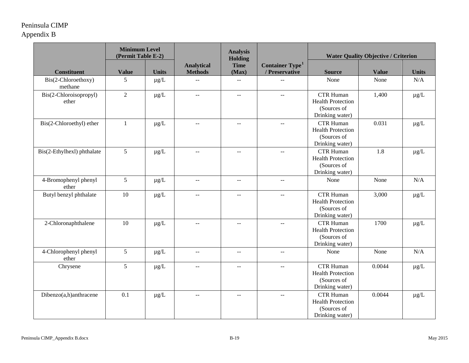|                                 | <b>Minimum Level</b><br>(Permit Table E-2) |              |                                               | <b>Analysis</b><br><b>Holding</b> |                                               | <b>Water Quality Objective / Criterion</b>                                     |              |              |
|---------------------------------|--------------------------------------------|--------------|-----------------------------------------------|-----------------------------------|-----------------------------------------------|--------------------------------------------------------------------------------|--------------|--------------|
| <b>Constituent</b>              | <b>Value</b>                               | <b>Units</b> | <b>Analytical</b><br><b>Methods</b>           | <b>Time</b><br>(Max)              | Container Type <sup>1</sup><br>/ Preservative | <b>Source</b>                                                                  | <b>Value</b> | <b>Units</b> |
| Bis(2-Chloroethoxy)<br>methane  | 5                                          | $\mu g/L$    | --                                            | $\sim$ $-$                        | $\overline{a}$                                | None                                                                           | None         | N/A          |
| Bis(2-Chloroisopropyl)<br>ether | $\overline{2}$                             | $\mu g/L$    | $\mathord{\hspace{1pt}\text{--}\hspace{1pt}}$ | $- -$                             | $\mathord{\hspace{1pt}\text{--}\hspace{1pt}}$ | <b>CTR Human</b><br><b>Health Protection</b><br>(Sources of<br>Drinking water) | 1,400        | $\mu g/L$    |
| Bis(2-Chloroethyl) ether        | $\mathbf{1}$                               | $\mu g/L$    | $\sim$ $\sim$                                 | $\overline{a}$                    | $\mathbb{L}^{\mathbb{L}}$                     | <b>CTR Human</b><br><b>Health Protection</b><br>(Sources of<br>Drinking water) | 0.031        | $\mu g/L$    |
| Bis(2-Ethylhexl) phthalate      | 5                                          | $\mu g/L$    | $\mathord{\hspace{1pt}\text{--}\hspace{1pt}}$ | $\overline{\phantom{m}}$          | $\mathord{\hspace{1pt}\text{--}\hspace{1pt}}$ | <b>CTR Human</b><br><b>Health Protection</b><br>(Sources of<br>Drinking water) | 1.8          | $\mu g/L$    |
| 4-Bromophenyl phenyl<br>ether   | 5                                          | $\mu g/L$    | $\mathcal{L} \mathcal{L}$                     | $\sim$ $-$                        | $\sim$ $-$                                    | None                                                                           | None         | N/A          |
| Butyl benzyl phthalate          | 10                                         | $\mu g/L$    | $\mathcal{L}_{\mathcal{F}}$                   | $\sim$ $-$                        | $\mathord{\hspace{1pt}\text{--}\hspace{1pt}}$ | <b>CTR Human</b><br><b>Health Protection</b><br>(Sources of<br>Drinking water) | 3,000        | $\mu g/L$    |
| 2-Chloronaphthalene             | 10                                         | $\mu g/L$    | $\rightarrow$                                 | $-$                               | $\sim$                                        | <b>CTR Human</b><br><b>Health Protection</b><br>(Sources of<br>Drinking water) | 1700         | $\mu g/L$    |
| 4-Chlorophenyl phenyl<br>ether  | 5                                          | $\mu g/L$    | $\mathbb{L}^{\mathbb{L}}$                     | $\sim$ $\sim$                     | $\mathbf{u}$                                  | None                                                                           | None         | N/A          |
| Chrysene                        | 5                                          | $\mu g/L$    | $\mathbb{L}^{\mathbb{L}}$                     | $\sim$ $\sim$                     | $\mathbf{u}$                                  | <b>CTR Human</b><br><b>Health Protection</b><br>(Sources of<br>Drinking water) | 0.0044       | $\mu g/L$    |
| Dibenzo(a,h)anthracene          | 0.1                                        | $\mu$ g/L    | $ -$                                          | $\sim$ $\sim$                     | $\overline{\phantom{a}}$                      | <b>CTR Human</b><br><b>Health Protection</b><br>(Sources of<br>Drinking water) | 0.0044       | $\mu g/L$    |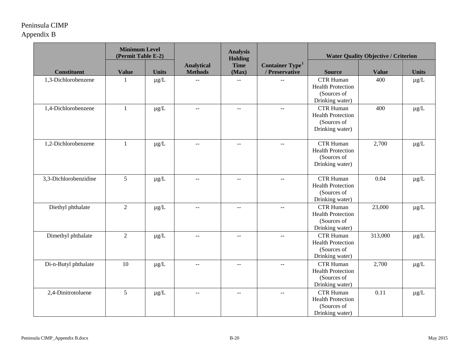|                       | <b>Minimum Level</b><br>(Permit Table E-2) |              |                                     | <b>Analysis</b><br>Holding  |                                                      | <b>Water Quality Objective / Criterion</b>                                     |              |              |
|-----------------------|--------------------------------------------|--------------|-------------------------------------|-----------------------------|------------------------------------------------------|--------------------------------------------------------------------------------|--------------|--------------|
| <b>Constituent</b>    | <b>Value</b>                               | <b>Units</b> | <b>Analytical</b><br><b>Methods</b> | <b>Time</b><br>(Max)        | <b>Container Type</b> <sup>1</sup><br>/ Preservative | <b>Source</b>                                                                  | <b>Value</b> | <b>Units</b> |
| 1,3-Dichlorobenzene   | -1                                         | $\mu g/L$    | $\sim$                              | $\overline{\phantom{a}}$    |                                                      | <b>CTR Human</b><br><b>Health Protection</b><br>(Sources of<br>Drinking water) | 400          | $\mu g/L$    |
| 1,4-Dichlorobenzene   | $\mathbf{1}$                               | $\mu g/L$    | $\sim$ $\sim$                       | $\mathbb{L}^{\mathbb{L}}$   | $\overline{a}$                                       | <b>CTR Human</b><br><b>Health Protection</b><br>(Sources of<br>Drinking water) | 400          | $\mu g/L$    |
| 1,2-Dichlorobenzene   | $\mathbf{1}$                               | $\mu g/L$    | $\overline{\phantom{m}}$            | $\mathcal{L} = \mathcal{L}$ | $--$                                                 | <b>CTR Human</b><br><b>Health Protection</b><br>(Sources of<br>Drinking water) | 2,700        | $\mu g/L$    |
| 3,3-Dichlorobenzidine | 5                                          | $\mu g/L$    | $\mathbf{u}$                        | $\mathbf{u}$                |                                                      | <b>CTR Human</b><br><b>Health Protection</b><br>(Sources of<br>Drinking water) | 0.04         | $\mu g/L$    |
| Diethyl phthalate     | $\overline{2}$                             | $\mu g/L$    | $-$                                 | $- -$                       | $\overline{a}$                                       | <b>CTR Human</b><br><b>Health Protection</b><br>(Sources of<br>Drinking water) | 23,000       | $\mu g/L$    |
| Dimethyl phthalate    | $\overline{2}$                             | $\mu g/L$    | $\overline{a}$                      | $\overline{a}$              | --                                                   | <b>CTR Human</b><br><b>Health Protection</b><br>(Sources of<br>Drinking water) | 313,000      | $\mu g/L$    |
| Di-n-Butyl phthalate  | 10                                         | $\mu$ g/L    | $\overline{a}$                      | $- -$                       | $\overline{\phantom{a}}$                             | <b>CTR Human</b><br><b>Health Protection</b><br>(Sources of<br>Drinking water) | 2,700        | $\mu$ g/L    |
| 2,4-Dinitrotoluene    | 5                                          | $\mu g/L$    | $\overline{\phantom{m}}$            | --                          | --                                                   | <b>CTR Human</b><br><b>Health Protection</b><br>(Sources of<br>Drinking water) | 0.11         | $\mu g/L$    |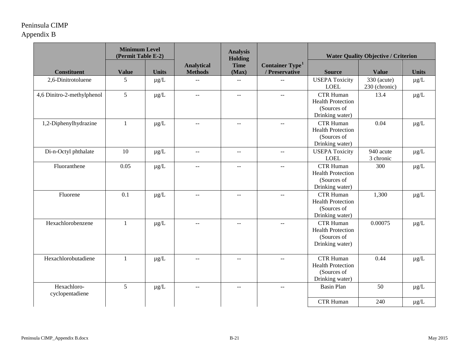|                                | <b>Minimum Level</b><br>(Permit Table E-2) |              |                                     | <b>Analysis</b><br>Holding |                                                      | <b>Water Quality Objective / Criterion</b>                                     |                                |              |
|--------------------------------|--------------------------------------------|--------------|-------------------------------------|----------------------------|------------------------------------------------------|--------------------------------------------------------------------------------|--------------------------------|--------------|
| <b>Constituent</b>             | <b>Value</b>                               | <b>Units</b> | <b>Analytical</b><br><b>Methods</b> | <b>Time</b><br>(Max)       | <b>Container Type</b> <sup>1</sup><br>/ Preservative | <b>Source</b>                                                                  | <b>Value</b>                   | <b>Units</b> |
| 2,6-Dinitrotoluene             | 5                                          | $\mu$ g/L    | $-$                                 | --                         |                                                      | <b>USEPA Toxicity</b><br><b>LOEL</b>                                           | $330$ (acute)<br>230 (chronic) | $\mu$ g/L    |
| 4,6 Dinitro-2-methylphenol     | 5                                          | $\mu g/L$    | $\mathbf{u}$                        | $\mathbf{u}$               | $\overline{a}$                                       | <b>CTR Human</b><br><b>Health Protection</b><br>(Sources of<br>Drinking water) | 13.4                           | $\mu g/L$    |
| 1,2-Diphenylhydrazine          | $\mathbf{1}$                               | $\mu g/L$    | $\overline{a}$                      | $\overline{a}$             | $\overline{a}$                                       | <b>CTR Human</b><br><b>Health Protection</b><br>(Sources of<br>Drinking water) | 0.04                           | $\mu g/L$    |
| Di-n-Octyl phthalate           | 10                                         | $\mu g/L$    | $\mathbf{u}$                        | $\mathbf{u}$               | $\sim$ $\sim$                                        | <b>USEPA Toxicity</b><br><b>LOEL</b>                                           | 940 acute<br>3 chronic         | $\mu g/L$    |
| Fluoranthene                   | 0.05                                       | $\mu g/L$    | $\overline{a}$                      | $ -$                       |                                                      | <b>CTR Human</b><br><b>Health Protection</b><br>(Sources of<br>Drinking water) | 300                            | $\mu g/L$    |
| Fluorene                       | 0.1                                        | $\mu g/L$    | $-$                                 | $\overline{\phantom{m}}$   |                                                      | <b>CTR Human</b><br><b>Health Protection</b><br>(Sources of<br>Drinking water) | 1,300                          | $\mu g/L$    |
| Hexachlorobenzene              | $\mathbf{1}$                               | $\mu g/L$    | $\mathbf{u}$                        | $\mathbf{u}$               |                                                      | <b>CTR Human</b><br><b>Health Protection</b><br>(Sources of<br>Drinking water) | 0.00075                        | $\mu g/L$    |
| Hexachlorobutadiene            | $\mathbf{1}$                               | $\mu g/L$    | $\overline{a}$                      | $\mathbf{u}$               | $\sim$                                               | <b>CTR Human</b><br><b>Health Protection</b><br>(Sources of<br>Drinking water) | 0.44                           | $\mu g/L$    |
| Hexachloro-<br>cyclopentadiene | 5                                          | $\mu g/L$    | $\overline{a}$                      | $\mathbf{u}$               |                                                      | <b>Basin Plan</b>                                                              | 50                             | $\mu g/L$    |
|                                |                                            |              |                                     |                            |                                                      | <b>CTR Human</b>                                                               | 240                            | $\mu g/L$    |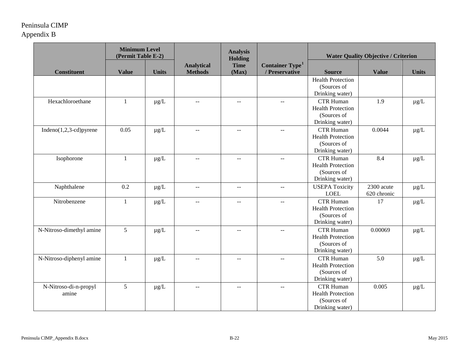|                                | <b>Minimum Level</b><br>(Permit Table E-2) |              |                                     | <b>Analysis</b><br>Holding                    |                                                      | <b>Water Quality Objective / Criterion</b>                                     |                           |              |
|--------------------------------|--------------------------------------------|--------------|-------------------------------------|-----------------------------------------------|------------------------------------------------------|--------------------------------------------------------------------------------|---------------------------|--------------|
| <b>Constituent</b>             | <b>Value</b>                               | <b>Units</b> | <b>Analytical</b><br><b>Methods</b> | <b>Time</b><br>(Max)                          | <b>Container Type</b> <sup>1</sup><br>/ Preservative | <b>Source</b>                                                                  | <b>Value</b>              | <b>Units</b> |
|                                |                                            |              |                                     |                                               |                                                      | <b>Health Protection</b><br>(Sources of<br>Drinking water)                     |                           |              |
| Hexachloroethane               | $\mathbf{1}$                               | $\mu g/L$    | $\sim$                              | $\sim$ $-$                                    | $\mathord{\hspace{1pt}\text{--}\hspace{1pt}}$        | <b>CTR Human</b><br><b>Health Protection</b><br>(Sources of<br>Drinking water) | 1.9                       | $\mu g/L$    |
| Indeno $(1,2,3$ -cd)pyrene     | 0.05                                       | $\mu$ g/L    | $\sim$                              | $\sim$ $\sim$                                 | $\mathbf{u}$                                         | <b>CTR Human</b><br><b>Health Protection</b><br>(Sources of<br>Drinking water) | 0.0044                    | $\mu g/L$    |
| Isophorone                     | 1                                          | $\mu g/L$    | $-$                                 | $ -$                                          | $\overline{a}$                                       | <b>CTR Human</b><br><b>Health Protection</b><br>(Sources of<br>Drinking water) | 8.4                       | $\mu g/L$    |
| Naphthalene                    | 0.2                                        | $\mu g/L$    | $\sim$ $\sim$                       | $\mathord{\hspace{1pt}\text{--}\hspace{1pt}}$ | $\overline{\phantom{a}}$                             | <b>USEPA Toxicity</b><br><b>LOEL</b>                                           | 2300 acute<br>620 chronic | $\mu g/L$    |
| Nitrobenzene                   | 1                                          | $\mu$ g/L    | $\sim$                              | $ -$                                          | $\overline{\phantom{a}}$                             | <b>CTR Human</b><br><b>Health Protection</b><br>(Sources of<br>Drinking water) | 17                        | $\mu g/L$    |
| N-Nitroso-dimethyl amine       | 5                                          | $\mu g/L$    | $-$                                 | $\sim$ $-$                                    | $\overline{\phantom{a}}$                             | <b>CTR Human</b><br><b>Health Protection</b><br>(Sources of<br>Drinking water) | 0.00069                   | $\mu g/L$    |
| N-Nitroso-diphenyl amine       | $\mathbf{1}$                               | $\mu g/L$    | $\overline{a}$                      | $\overline{a}$                                | $\sim$                                               | <b>CTR Human</b><br><b>Health Protection</b><br>(Sources of<br>Drinking water) | 5.0                       | $\mu g/L$    |
| N-Nitroso-di-n-propyl<br>amine | 5                                          | $\mu g/L$    | $-$                                 | 44                                            | $\overline{a}$                                       | <b>CTR Human</b><br><b>Health Protection</b><br>(Sources of<br>Drinking water) | 0.005                     | $\mu g/L$    |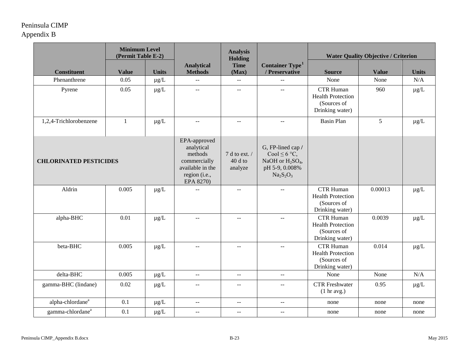|                               | <b>Minimum Level</b><br>(Permit Table E-2) |              |                                                                                                         | <b>Analysis</b><br><b>Holding</b>             |                                                                                                                   |                                                                                | <b>Water Quality Objective / Criterion</b> |              |
|-------------------------------|--------------------------------------------|--------------|---------------------------------------------------------------------------------------------------------|-----------------------------------------------|-------------------------------------------------------------------------------------------------------------------|--------------------------------------------------------------------------------|--------------------------------------------|--------------|
| <b>Constituent</b>            | <b>Value</b>                               | <b>Units</b> | <b>Analytical</b><br><b>Methods</b>                                                                     | <b>Time</b><br>(Max)                          | Container Type <sup>1</sup><br>/ Preservative                                                                     | <b>Source</b>                                                                  | <b>Value</b>                               | <b>Units</b> |
| Phenanthrene                  | 0.05                                       | $\mu$ g/L    | $\overline{a}$                                                                                          | $\mathord{\hspace{1pt}\text{--}\hspace{1pt}}$ | $\overline{\phantom{a}}$                                                                                          | None                                                                           | None                                       | N/A          |
| Pyrene                        | 0.05                                       | $\mu g/L$    | $\overline{a}$                                                                                          | $\mathbf{u} = \mathbf{v}$                     | $\overline{a}$                                                                                                    | <b>CTR Human</b><br><b>Health Protection</b><br>(Sources of<br>Drinking water) | 960                                        | $\mu g/L$    |
| 1,2,4-Trichlorobenzene        | $\mathbf{1}$                               | $\mu g/L$    | $\mathord{\hspace{1pt}\text{--}\hspace{1pt}}$                                                           | $\mathord{\hspace{1pt}\text{--}\hspace{1pt}}$ | $\mathord{\hspace{1pt}\text{--}\hspace{1pt}}$                                                                     | <b>Basin Plan</b>                                                              | 5                                          | $\mu g/L$    |
| <b>CHLORINATED PESTICIDES</b> |                                            |              | EPA-approved<br>analytical<br>methods<br>commercially<br>available in the<br>region (i.e.,<br>EPA 8270) | 7 d to ext. /<br>$40d$ to<br>analyze          | G, FP-lined cap /<br>Cool $\leq 6$ °C,<br>NaOH or H <sub>2</sub> SO <sub>4</sub> ,<br>pH 5-9, 0.008%<br>$Na2S2O3$ |                                                                                |                                            |              |
| Aldrin                        | 0.005                                      | $\mu g/L$    | $-$                                                                                                     | $- -$                                         | $-$                                                                                                               | <b>CTR Human</b><br><b>Health Protection</b><br>(Sources of<br>Drinking water) | 0.00013                                    | $\mu g/L$    |
| alpha-BHC                     | 0.01                                       | $\mu g/L$    | $-$                                                                                                     | $\mathcal{L}_{\mathcal{F}}$                   | $\overline{\phantom{m}}$                                                                                          | <b>CTR Human</b><br><b>Health Protection</b><br>(Sources of<br>Drinking water) | 0.0039                                     | $\mu g/L$    |
| beta-BHC                      | 0.005                                      | $\mu g/L$    | $\sim$ $\sim$                                                                                           | $\mathcal{L} \mathcal{L}$                     | $\mathord{\hspace{1pt}\text{--}\hspace{1pt}}$                                                                     | <b>CTR Human</b><br><b>Health Protection</b><br>(Sources of<br>Drinking water) | 0.014                                      | $\mu g/L$    |
| delta-BHC                     | 0.005                                      | $\mu g/L$    | $\sim$ $\sim$                                                                                           | $\sim$ $\sim$                                 | $\mathcal{L}_{\mathcal{F}}$                                                                                       | None                                                                           | None                                       | N/A          |
| gamma-BHC (lindane)           | 0.02                                       | $\mu$ g/L    | $-$                                                                                                     | $ -$                                          | $\mathbb{L}^{\mathbb{L}}$                                                                                         | <b>CTR</b> Freshwater<br>(1 hr avg.)                                           | 0.95                                       | $\mu g/L$    |
| alpha-chlordane <sup>a</sup>  | 0.1                                        | $\mu g/L$    | $\overline{\phantom{a}}$                                                                                | $\sim$ $\sim$                                 | $\overline{\phantom{m}}$                                                                                          | none                                                                           | none                                       | none         |
| gamma-chlordane <sup>a</sup>  | 0.1                                        | $\mu g/L$    | $\mathcal{L} =$                                                                                         | $\sim$ $-$                                    | $\mathord{\hspace{1pt}\text{--}\hspace{1pt}}$                                                                     | none                                                                           | none                                       | none         |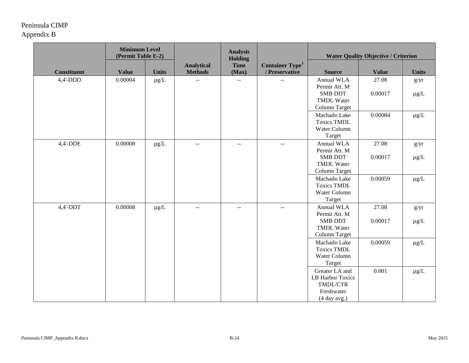|                    | <b>Minimum Level</b><br>(Permit Table E-2) |              |                                     | <b>Analysis</b><br><b>Holding</b> |                                                      | <b>Water Quality Objective / Criterion</b>                                          |                  |                   |
|--------------------|--------------------------------------------|--------------|-------------------------------------|-----------------------------------|------------------------------------------------------|-------------------------------------------------------------------------------------|------------------|-------------------|
| <b>Constituent</b> | <b>Value</b>                               | <b>Units</b> | <b>Analytical</b><br><b>Methods</b> | <b>Time</b><br>(Max)              | <b>Container Type</b> <sup>1</sup><br>/ Preservative | <b>Source</b>                                                                       | <b>Value</b>     | <b>Units</b>      |
| $4,4'-DDD$         | 0.00004                                    | $\mu g/L$    |                                     |                                   |                                                      | Annual WLA<br>Permit Att. M<br><b>SMB DDT</b><br><b>TMDL Water</b><br>Column Target | 27.08<br>0.00017 | g/yr<br>$\mu g/L$ |
|                    |                                            |              |                                     |                                   |                                                      | Machado Lake<br><b>Toxics TMDL</b><br>Water Column<br>Target                        | 0.00084          | $\mu g/L$         |
| $4,4'$ -DDE        | 0.00008                                    | $\mu g/L$    | $\sim$ $\sim$                       | $\sim$ $-$                        | $\overline{a}$                                       | Annual WLA<br>Permit Att. M<br><b>SMB DDT</b><br><b>TMDL Water</b><br>Column Target | 27.08<br>0.00017 | g/yr<br>$\mu g/L$ |
|                    |                                            |              |                                     |                                   |                                                      | Machado Lake<br><b>Toxics TMDL</b><br>Water Column<br>Target                        | 0.00059          | $\mu g/L$         |
| $4,4'$ -DDT        | 0.00008                                    | $\mu g/L$    | $- \, -$                            | --                                | $\mathord{\hspace{1pt}\text{--}\hspace{1pt}}$        | Annual WLA<br>Permit Att. M<br><b>SMB DDT</b><br><b>TMDL Water</b><br>Column Target | 27.08<br>0.00017 | g/yr<br>$\mu g/L$ |
|                    |                                            |              |                                     |                                   |                                                      | Machado Lake<br><b>Toxics TMDL</b><br>Water Column<br>Target                        | 0.00059          | $\mu g/L$         |
|                    |                                            |              |                                     |                                   |                                                      | Greater LA and<br>LB Harbor Toxics<br>TMDL/CTR<br>Freshwater<br>(4 day avg.)        | 0.001            | $\mu g/L$         |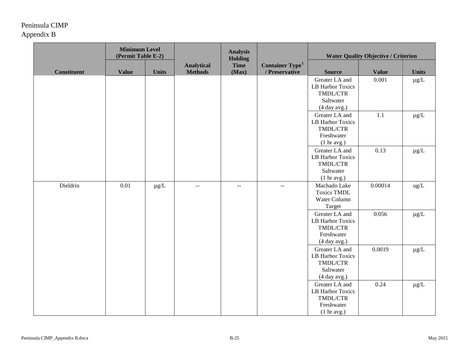|                    | <b>Minimum Level</b><br>(Permit Table E-2) |              |                                     | <b>Analysis</b><br><b>Holding</b> |                                                      |                                                                                | <b>Water Quality Objective / Criterion</b> |                 |  |
|--------------------|--------------------------------------------|--------------|-------------------------------------|-----------------------------------|------------------------------------------------------|--------------------------------------------------------------------------------|--------------------------------------------|-----------------|--|
| <b>Constituent</b> | <b>Value</b>                               | <b>Units</b> | <b>Analytical</b><br><b>Methods</b> | <b>Time</b><br>(Max)              | <b>Container Type</b> <sup>1</sup><br>/ Preservative | <b>Source</b>                                                                  | <b>Value</b>                               | <b>Units</b>    |  |
|                    |                                            |              |                                     |                                   |                                                      | Greater LA and<br>LB Harbor Toxics<br>TMDL/CTR<br>Saltwater<br>(4 day avg.)    | 0.001                                      | $\mu g/L$       |  |
|                    |                                            |              |                                     |                                   |                                                      | Greater LA and<br>LB Harbor Toxics<br>TMDL/CTR<br>Freshwater<br>(1 hr avg.)    | 1.1                                        | $\mu\text{g}/L$ |  |
|                    |                                            |              |                                     |                                   |                                                      | Greater LA and<br>LB Harbor Toxics<br>TMDL/CTR<br>Saltwater<br>(1 hr avg.)     | 0.13                                       | $\mu g/L$       |  |
| Dieldrin           | 0.01                                       | $\mu g/L$    | $- \, -$                            | $- -$                             | $- -$                                                | Machado Lake<br><b>Toxics TMDL</b><br>Water Column<br>Target                   | 0.00014                                    | $ug/L$          |  |
|                    |                                            |              |                                     |                                   |                                                      | Greater LA and<br>LB Harbor Toxics<br>TMDL/CTR<br>Freshwater<br>$(4$ day avg.) | 0.056                                      | $\mu g/L$       |  |
|                    |                                            |              |                                     |                                   |                                                      | Greater LA and<br>LB Harbor Toxics<br>TMDL/CTR<br>Saltwater<br>(4 day avg.)    | 0.0019                                     | $\mu g/L$       |  |
|                    |                                            |              |                                     |                                   |                                                      | Greater LA and<br>LB Harbor Toxics<br>TMDL/CTR<br>Freshwater<br>(1 hr avg.)    | 0.24                                       | $\mu g/L$       |  |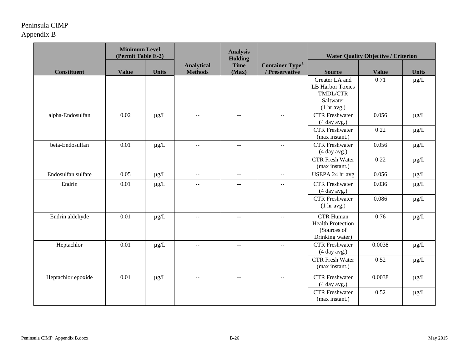|                    | <b>Minimum Level</b><br>(Permit Table E-2) |              |                                               | <b>Analysis</b><br>Holding                    |                                                      | <b>Water Quality Objective / Criterion</b>                                        |              |              |
|--------------------|--------------------------------------------|--------------|-----------------------------------------------|-----------------------------------------------|------------------------------------------------------|-----------------------------------------------------------------------------------|--------------|--------------|
| <b>Constituent</b> | <b>Value</b>                               | <b>Units</b> | <b>Analytical</b><br><b>Methods</b>           | <b>Time</b><br>(Max)                          | <b>Container Type</b> <sup>1</sup><br>/ Preservative | <b>Source</b>                                                                     | <b>Value</b> | <b>Units</b> |
|                    |                                            |              |                                               |                                               |                                                      | Greater LA and<br><b>LB Harbor Toxics</b><br>TMDL/CTR<br>Saltwater<br>(1 hr avg.) | 0.71         | $\mu g/L$    |
| alpha-Endosulfan   | 0.02                                       | $\mu g/L$    | $\sim$ $\sim$                                 | $\mathbf{u}$                                  | $\overline{a}$                                       | <b>CTR</b> Freshwater<br>(4 day avg.)                                             | 0.056        | $\mu g/L$    |
|                    |                                            |              |                                               |                                               |                                                      | <b>CTR</b> Freshwater<br>(max instant.)                                           | 0.22         | $\mu g/L$    |
| beta-Endosulfan    | 0.01                                       | $\mu g/L$    | $\overline{a}$                                | $\overline{a}$                                | $\overline{a}$                                       | <b>CTR</b> Freshwater<br>(4 day avg.)                                             | 0.056        | $\mu g/L$    |
|                    |                                            |              |                                               |                                               |                                                      | <b>CTR Fresh Water</b><br>(max instant.)                                          | 0.22         | $\mu g/L$    |
| Endosulfan sulfate | 0.05                                       | $\mu g/L$    | $\mathbb{L} \mathbb{L}$                       | $\sim$ $\sim$                                 | $\mathbb{H}^{\mathbb{H}}$                            | USEPA 24 hr avg                                                                   | 0.056        | $\mu g/L$    |
| Endrin             | 0.01                                       | $\mu$ g/L    | $\sim$                                        | $\overline{a}$                                | $\overline{a}$                                       | <b>CTR</b> Freshwater<br>(4 day avg.)                                             | 0.036        | $\mu g/L$    |
|                    |                                            |              |                                               |                                               |                                                      | <b>CTR</b> Freshwater<br>$(1 \text{ hr} \text{ avg.})$                            | 0.086        | $\mu g/L$    |
| Endrin aldehyde    | 0.01                                       | $\mu g/L$    | $\mathord{\hspace{1pt}\text{--}\hspace{1pt}}$ | $\mathord{\hspace{1pt}\text{--}\hspace{1pt}}$ | $\mathord{\hspace{1pt}\text{--}\hspace{1pt}}$        | <b>CTR Human</b><br><b>Health Protection</b><br>(Sources of<br>Drinking water)    | 0.76         | $\mu g/L$    |
| Heptachlor         | 0.01                                       | $\mu g/L$    | $\Box$                                        | $\mathord{\hspace{1pt}\text{--}\hspace{1pt}}$ | $\overline{a}$                                       | <b>CTR</b> Freshwater<br>(4 day avg.)                                             | 0.0038       | $\mu g/L$    |
|                    |                                            |              |                                               |                                               |                                                      | <b>CTR</b> Fresh Water<br>(max instant.)                                          | 0.52         | $\mu g/L$    |
| Heptachlor epoxide | 0.01                                       | $\mu g/L$    | $\overline{a}$                                | $- -$                                         | $\overline{a}$                                       | <b>CTR</b> Freshwater<br>(4 day avg.)                                             | 0.0038       | $\mu g/L$    |
|                    |                                            |              |                                               |                                               |                                                      | <b>CTR</b> Freshwater<br>(max instant.)                                           | 0.52         | $\mu g/L$    |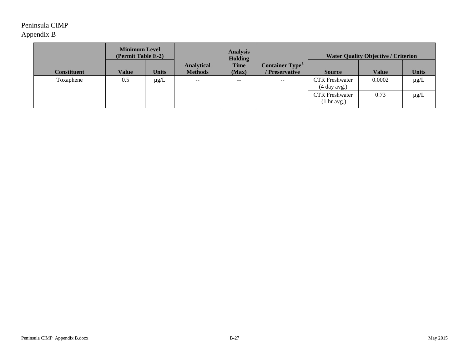|                    | <b>Minimum Level</b><br>(Permit Table E-2) |              |                                     |                      |                                               | <b>Analysis</b><br><b>Holding</b>              |              |              | <b>Water Quality Objective / Criterion</b> |  |
|--------------------|--------------------------------------------|--------------|-------------------------------------|----------------------|-----------------------------------------------|------------------------------------------------|--------------|--------------|--------------------------------------------|--|
| <b>Constituent</b> | Value                                      | <b>Units</b> | <b>Analytical</b><br><b>Methods</b> | <b>Time</b><br>(Max) | Container Type <sup>1</sup><br>/ Preservative | <b>Source</b>                                  | <b>Value</b> | <b>Units</b> |                                            |  |
| Toxaphene          | 0.5                                        | $\mu$ g/L    | $-\,-$                              | $- -$                | $\mathord{\hspace{1pt}\text{--}\hspace{1pt}}$ | <b>CTR</b> Freshwater<br>(4 day avg.)          | 0.0002       | $\mu$ g/L    |                                            |  |
|                    |                                            |              |                                     |                      |                                               | <b>CTR</b> Freshwater<br>$(1 \text{ hr avg.})$ | 0.73         | $\mu g/L$    |                                            |  |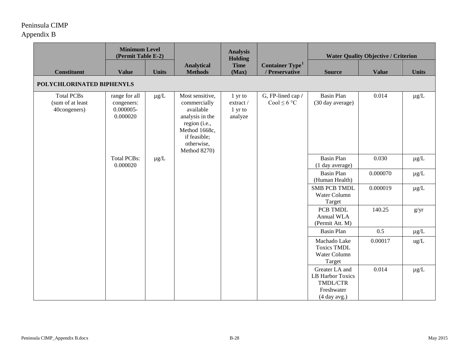|                                                       | <b>Minimum Level</b><br>(Permit Table E-2)              |              |                                                                                                                                                 | <b>Analysis</b><br><b>Holding</b>                 |                                               | <b>Water Quality Objective / Criterion</b>                                   |              |              |  |
|-------------------------------------------------------|---------------------------------------------------------|--------------|-------------------------------------------------------------------------------------------------------------------------------------------------|---------------------------------------------------|-----------------------------------------------|------------------------------------------------------------------------------|--------------|--------------|--|
| <b>Constituent</b>                                    | <b>Value</b>                                            | <b>Units</b> | <b>Analytical</b><br><b>Methods</b>                                                                                                             | <b>Time</b><br>(Max)                              | Container Type <sup>1</sup><br>/ Preservative | <b>Source</b>                                                                | <b>Value</b> | <b>Units</b> |  |
| POLYCHLORINATED BIPHENYLS                             |                                                         |              |                                                                                                                                                 |                                                   |                                               |                                                                              |              |              |  |
| <b>Total PCBs</b><br>(sum of at least<br>40congeners) | range for all<br>congeners:<br>$0.000005 -$<br>0.000020 | $\mu g/L$    | Most sensitive,<br>commercially<br>available<br>analysis in the<br>region (i.e.,<br>Method 1668c,<br>if feasible;<br>otherwise,<br>Method 8270) | 1 yr to<br>$\,$ extract $/$<br>1 yr to<br>analyze | G, FP-lined cap /<br>Cool $\leq 6$ °C         | <b>Basin Plan</b><br>(30 day average)                                        | 0.014        | $\mu g/L$    |  |
|                                                       | <b>Total PCBs:</b><br>0.000020                          | $\mu g/L$    |                                                                                                                                                 |                                                   |                                               | <b>Basin Plan</b><br>(1 day average)                                         | 0.030        | $\mu g/L$    |  |
|                                                       |                                                         |              |                                                                                                                                                 |                                                   |                                               | <b>Basin Plan</b><br>(Human Health)                                          | 0.000070     | $\mu g/L$    |  |
|                                                       |                                                         |              |                                                                                                                                                 |                                                   |                                               | <b>SMB PCB TMDL</b><br>Water Column<br>Target                                | 0.000019     | $\mu g/L$    |  |
|                                                       |                                                         |              |                                                                                                                                                 |                                                   |                                               | PCB TMDL<br>Annual WLA<br>(Permit Att. M)                                    | 140.25       | g/yr         |  |
|                                                       |                                                         |              |                                                                                                                                                 |                                                   |                                               | <b>Basin Plan</b>                                                            | 0.5          | $\mu g/L$    |  |
|                                                       |                                                         |              |                                                                                                                                                 |                                                   |                                               | Machado Lake<br><b>Toxics TMDL</b><br>Water Column<br>Target                 | 0.00017      | ug/L         |  |
|                                                       |                                                         |              |                                                                                                                                                 |                                                   |                                               | Greater LA and<br>LB Harbor Toxics<br>TMDL/CTR<br>Freshwater<br>(4 day avg.) | 0.014        | $\mu g/L$    |  |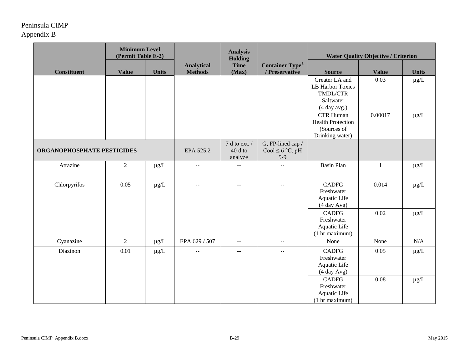|                            | <b>Minimum Level</b><br>(Permit Table E-2) |              |                                      | <b>Analysis</b><br>Holding                         |                                               | <b>Water Quality Objective / Criterion</b>                                         |              |              |
|----------------------------|--------------------------------------------|--------------|--------------------------------------|----------------------------------------------------|-----------------------------------------------|------------------------------------------------------------------------------------|--------------|--------------|
| <b>Constituent</b>         | <b>Value</b>                               | <b>Units</b> | <b>Analytical</b><br><b>Methods</b>  | <b>Time</b><br>(Max)                               | Container Type <sup>1</sup><br>/ Preservative | <b>Source</b>                                                                      | <b>Value</b> | <b>Units</b> |
|                            |                                            |              |                                      |                                                    |                                               | Greater LA and<br><b>LB Harbor Toxics</b><br>TMDL/CTR<br>Saltwater<br>(4 day avg.) | 0.03         | $\mu g/L$    |
|                            |                                            |              |                                      |                                                    |                                               | <b>CTR Human</b><br><b>Health Protection</b><br>(Sources of<br>Drinking water)     | 0.00017      | $\mu g/L$    |
| ORGANOPHOSPHATE PESTICIDES |                                            | EPA 525.2    | 7 d to ext. /<br>$40d$ to<br>analyze | G, FP-lined cap /<br>Cool $\leq 6$ °C, pH<br>$5-9$ |                                               |                                                                                    |              |              |
| Atrazine                   | $\overline{2}$                             | $\mu g/L$    | $\overline{a}$                       | $\overline{a}$                                     | $\overline{a}$                                | <b>Basin Plan</b>                                                                  | $\mathbf{1}$ | $\mu g/L$    |
| Chlorpyrifos               | 0.05                                       | $\mu g/L$    | $\sim$                               | $\sim$ $\sim$                                      | --                                            | <b>CADFG</b><br>Freshwater<br>Aquatic Life<br>(4 day Avg)                          | 0.014        | $\mu g/L$    |
|                            |                                            |              |                                      |                                                    |                                               | <b>CADFG</b><br>Freshwater<br>Aquatic Life<br>(1 hr maximum)                       | 0.02         | $\mu g/L$    |
| Cyanazine                  | $\overline{2}$                             | $\mu g/L$    | EPA 629 / 507                        | $\sim$ $\sim$                                      | $\mathbb{L}^{\mathbb{L}}$                     | None                                                                               | None         | N/A          |
| Diazinon                   | 0.01                                       | $\mu g/L$    | $\mathbb{L} \mathbb{L}$              | $\mathbb{L}^{\mathbb{L}}$                          | $-$                                           | <b>CADFG</b><br>Freshwater<br>Aquatic Life<br>(4 day Avg)                          | 0.05         | $\mu g/L$    |
|                            |                                            |              |                                      |                                                    |                                               | <b>CADFG</b><br>Freshwater<br>Aquatic Life<br>(1 hr maximum)                       | 0.08         | $\mu g/L$    |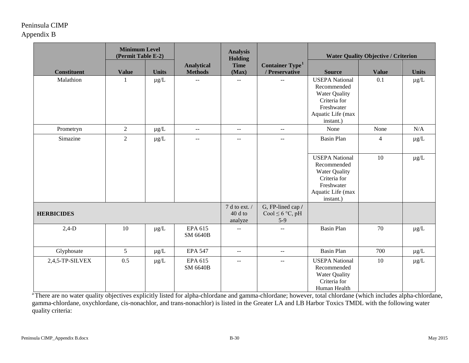|                    | <b>Minimum Level</b><br>(Permit Table E-2) |                                      |                                                    | <b>Analysis</b><br><b>Holding</b>             |                                               | <b>Water Quality Objective / Criterion</b>                                                                                   |                |              |
|--------------------|--------------------------------------------|--------------------------------------|----------------------------------------------------|-----------------------------------------------|-----------------------------------------------|------------------------------------------------------------------------------------------------------------------------------|----------------|--------------|
| <b>Constituent</b> | <b>Value</b>                               | <b>Units</b>                         | <b>Analytical</b><br><b>Methods</b>                | <b>Time</b><br>(Max)                          | Container Type <sup>1</sup><br>/ Preservative | <b>Source</b>                                                                                                                | <b>Value</b>   | <b>Units</b> |
| Malathion          |                                            | $\mu g/L$                            | $\overline{a}$                                     | $\mathbb{H}^{\mathbb{H}}$                     | $\overline{a}$                                | <b>USEPA</b> National<br>Recommended<br>Water Quality<br>Criteria for<br>Freshwater<br>Aquatic Life (max<br>instant.)        | 0.1            | $\mu g/L$    |
| Prometryn          | $\sqrt{2}$                                 | $\mu g/L$                            | $\mathord{\hspace{1pt}\text{--}\hspace{1pt}}$      | $\mathord{\hspace{1pt}\text{--}\hspace{1pt}}$ | --                                            | None                                                                                                                         | None           | N/A          |
| Simazine           | $\overline{2}$                             | $\mu g/L$                            | $\overline{a}$                                     | $\mathbf{u}$                                  | $\overline{a}$                                | <b>Basin Plan</b>                                                                                                            | $\overline{4}$ | $\mu g/L$    |
|                    |                                            |                                      |                                                    |                                               |                                               | <b>USEPA</b> National<br>Recommended<br><b>Water Quality</b><br>Criteria for<br>Freshwater<br>Aquatic Life (max<br>instant.) | 10             | $\mu g/L$    |
| <b>HERBICIDES</b>  |                                            | 7 d to ext. /<br>$40d$ to<br>analyze | G, FP-lined cap /<br>Cool $\leq 6$ °C, pH<br>$5-9$ |                                               |                                               |                                                                                                                              |                |              |
| $2,4-D$            | 10                                         | $\mu$ g/L                            | EPA 615<br><b>SM 6640B</b>                         | $\overline{a}$                                | $\mathbb{L}^{\mathbb{L}}$                     | <b>Basin Plan</b>                                                                                                            | 70             | $\mu g/L$    |
| Glyphosate         | 5                                          | $\mu$ g/L                            | <b>EPA 547</b>                                     | $\sim$ $\sim$                                 | $-$                                           | <b>Basin Plan</b>                                                                                                            | 700            | $\mu g/L$    |
| 2,4,5-TP-SILVEX    | 0.5                                        | $\mu g/L$                            | EPA 615<br><b>SM 6640B</b>                         | $- -$                                         | $\overline{\phantom{a}}$                      | <b>USEPA National</b><br>Recommended<br>Water Quality<br>Criteria for<br>Human Health                                        | 10             | $\mu g/L$    |

<sup>a</sup> There are no water quality objectives explicitly listed for alpha-chlordane and gamma-chlordane; however, total chlordane (which includes alpha-chlordane, gamma-chlordane, oxychlordane, cis-nonachlor, and trans-nonachlor) is listed in the Greater LA and LB Harbor Toxics TMDL with the following water quality criteria: